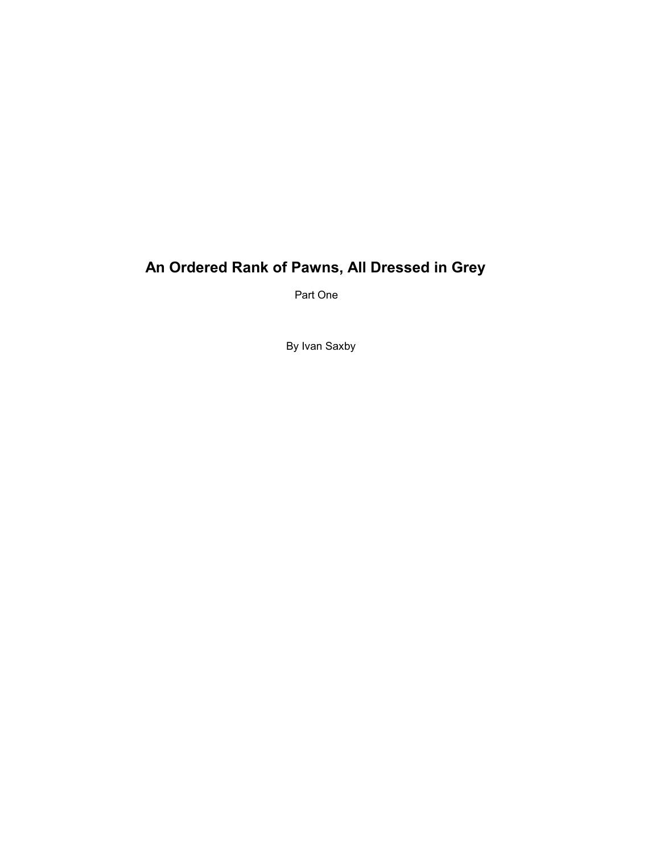# **An Ordered Rank of Pawns, All Dressed in Grey**

Part One

By Ivan Saxby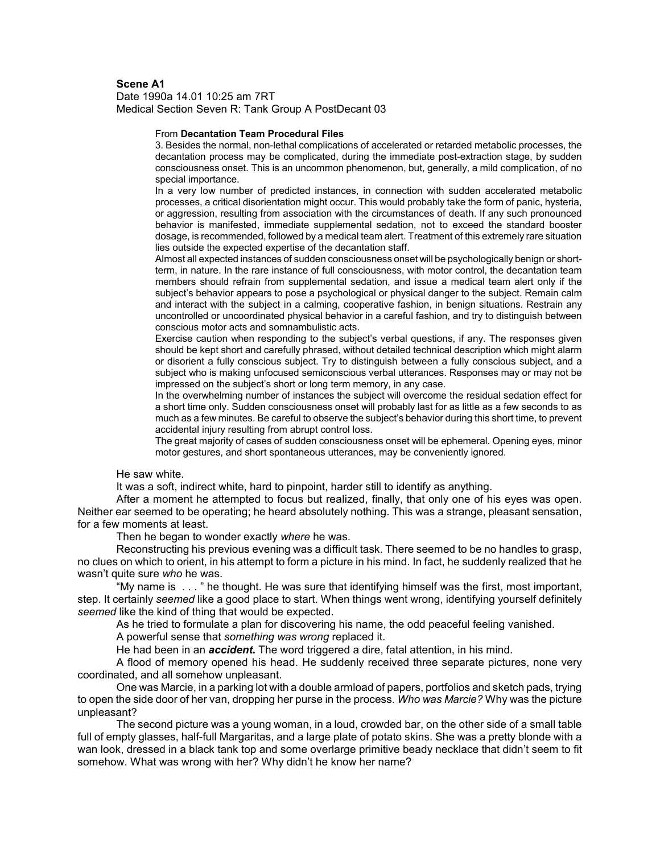# **Scene A1**

Date 1990a 14.01 10:25 am 7RT Medical Section Seven R: Tank Group A PostDecant 03

### From **Decantation Team Procedural Files**

3. Besides the normal, non-lethal complications of accelerated or retarded metabolic processes, the decantation process may be complicated, during the immediate post-extraction stage, by sudden consciousness onset. This is an uncommon phenomenon, but, generally, a mild complication, of no special importance.

In a very low number of predicted instances, in connection with sudden accelerated metabolic processes, a critical disorientation might occur. This would probably take the form of panic, hysteria, or aggression, resulting from association with the circumstances of death. If any such pronounced behavior is manifested, immediate supplemental sedation, not to exceed the standard booster dosage, is recommended, followed by a medical team alert. Treatment of this extremely rare situation lies outside the expected expertise of the decantation staff.

Almost all expected instances of sudden consciousness onset will be psychologically benign or shortterm, in nature. In the rare instance of full consciousness, with motor control, the decantation team members should refrain from supplemental sedation, and issue a medical team alert only if the subject's behavior appears to pose a psychological or physical danger to the subject. Remain calm and interact with the subject in a calming, cooperative fashion, in benign situations. Restrain any uncontrolled or uncoordinated physical behavior in a careful fashion, and try to distinguish between conscious motor acts and somnambulistic acts.

Exercise caution when responding to the subject's verbal questions, if any. The responses given should be kept short and carefully phrased, without detailed technical description which might alarm or disorient a fully conscious subject. Try to distinguish between a fully conscious subject, and a subject who is making unfocused semiconscious verbal utterances. Responses may or may not be impressed on the subject's short or long term memory, in any case.

In the overwhelming number of instances the subject will overcome the residual sedation effect for a short time only. Sudden consciousness onset will probably last for as little as a few seconds to as much as a few minutes. Be careful to observe the subjectís behavior during this short time, to prevent accidental injury resulting from abrupt control loss.

The great majority of cases of sudden consciousness onset will be ephemeral. Opening eyes, minor motor gestures, and short spontaneous utterances, may be conveniently ignored.

He saw white.

It was a soft, indirect white, hard to pinpoint, harder still to identify as anything.

After a moment he attempted to focus but realized, finally, that only one of his eyes was open. Neither ear seemed to be operating; he heard absolutely nothing. This was a strange, pleasant sensation, for a few moments at least.

Then he began to wonder exactly *where* he was.

Reconstructing his previous evening was a difficult task. There seemed to be no handles to grasp, no clues on which to orient, in his attempt to form a picture in his mind. In fact, he suddenly realized that he wasnít quite sure *who* he was.

ìMy name is . . . î he thought. He was sure that identifying himself was the first, most important, step. It certainly *seemed* like a good place to start. When things went wrong, identifying yourself definitely *seemed* like the kind of thing that would be expected.

As he tried to formulate a plan for discovering his name, the odd peaceful feeling vanished.

A powerful sense that *something was wrong* replaced it.

He had been in an *accident***.** The word triggered a dire, fatal attention, in his mind.

A flood of memory opened his head. He suddenly received three separate pictures, none very coordinated, and all somehow unpleasant.

One was Marcie, in a parking lot with a double armload of papers, portfolios and sketch pads, trying to open the side door of her van, dropping her purse in the process. *Who was Marcie?* Why was the picture unpleasant?

The second picture was a young woman, in a loud, crowded bar, on the other side of a small table full of empty glasses, half-full Margaritas, and a large plate of potato skins. She was a pretty blonde with a wan look, dressed in a black tank top and some overlarge primitive beady necklace that didn't seem to fit somehow. What was wrong with her? Why didn't he know her name?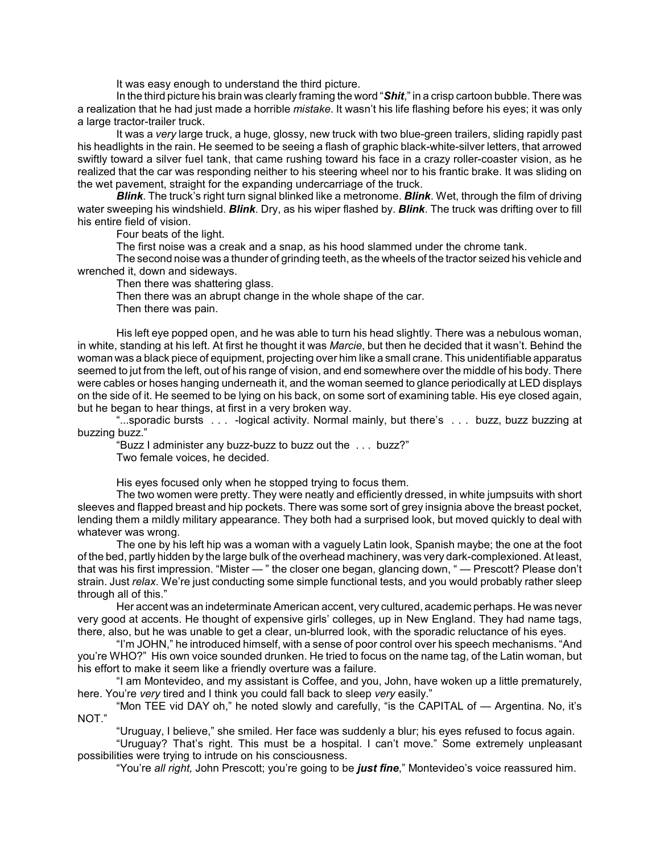It was easy enough to understand the third picture.

In the third picture his brain was clearly framing the word "Shit," in a crisp cartoon bubble. There was a realization that he had just made a horrible *mistake*. It wasn't his life flashing before his eyes; it was only a large tractor-trailer truck.

It was a *very* large truck, a huge, glossy, new truck with two blue-green trailers, sliding rapidly past his headlights in the rain. He seemed to be seeing a flash of graphic black-white-silver letters, that arrowed swiftly toward a silver fuel tank, that came rushing toward his face in a crazy roller-coaster vision, as he realized that the car was responding neither to his steering wheel nor to his frantic brake. It was sliding on the wet pavement, straight for the expanding undercarriage of the truck.

*Blink*. The truckís right turn signal blinked like a metronome. *Blink*. Wet, through the film of driving water sweeping his windshield. *Blink*. Dry, as his wiper flashed by. *Blink*. The truck was drifting over to fill his entire field of vision.

Four beats of the light.

The first noise was a creak and a snap, as his hood slammed under the chrome tank.

The second noise was a thunder of grinding teeth, as the wheels of the tractor seized his vehicle and wrenched it, down and sideways.

Then there was shattering glass.

Then there was an abrupt change in the whole shape of the car.

Then there was pain.

His left eye popped open, and he was able to turn his head slightly. There was a nebulous woman, in white, standing at his left. At first he thought it was *Marcie*, but then he decided that it wasnít. Behind the woman was a black piece of equipment, projecting over him like a small crane. This unidentifiable apparatus seemed to jut from the left, out of his range of vision, and end somewhere over the middle of his body. There were cables or hoses hanging underneath it, and the woman seemed to glance periodically at LED displays on the side of it. He seemed to be lying on his back, on some sort of examining table. His eye closed again, but he began to hear things, at first in a very broken way.

ì...sporadic bursts . . . -logical activity. Normal mainly, but thereís . . . buzz, buzz buzzing at buzzing buzz."

*"Buzz I administer any buzz-buzz to buzz out the ... buzz?"* Two female voices, he decided.

His eyes focused only when he stopped trying to focus them.

The two women were pretty. They were neatly and efficiently dressed, in white jumpsuits with short sleeves and flapped breast and hip pockets. There was some sort of grey insignia above the breast pocket, lending them a mildly military appearance. They both had a surprised look, but moved quickly to deal with whatever was wrong.

The one by his left hip was a woman with a vaguely Latin look, Spanish maybe; the one at the foot of the bed, partly hidden by the large bulk of the overhead machinery, was very dark-complexioned. At least, that was his first impression. "Mister — " the closer one began, glancing down, " — Prescott? Please don't strain. Just *relax*. Weíre just conducting some simple functional tests, and you would probably rather sleep through all of this."

Her accent was an indeterminate American accent, very cultured, academic perhaps. He was never very good at accents. He thought of expensive girls' colleges, up in New England. They had name tags, there, also, but he was unable to get a clear, un-blurred look, with the sporadic reluctance of his eyes.

"I'm JOHN," he introduced himself, with a sense of poor control over his speech mechanisms. "And you're WHO?" His own voice sounded drunken. He tried to focus on the name tag, of the Latin woman, but his effort to make it seem like a friendly overture was a failure.

"I am Montevideo, and my assistant is Coffee, and you, John, have woken up a little prematurely, here. You're *very* tired and I think you could fall back to sleep *very* easily."

"Mon TEE vid DAY oh," he noted slowly and carefully, "is the CAPITAL of  $-$  Argentina. No, it's NOT."

ìUruguay, I believe,î she smiled. Her face was suddenly a blur; his eyes refused to focus again.

"Uruguay? That's right. This must be a hospital. I can't move." Some extremely unpleasant possibilities were trying to intrude on his consciousness.

"You're *all right*, John Prescott; you're going to be *just fine*," Montevideo's voice reassured him.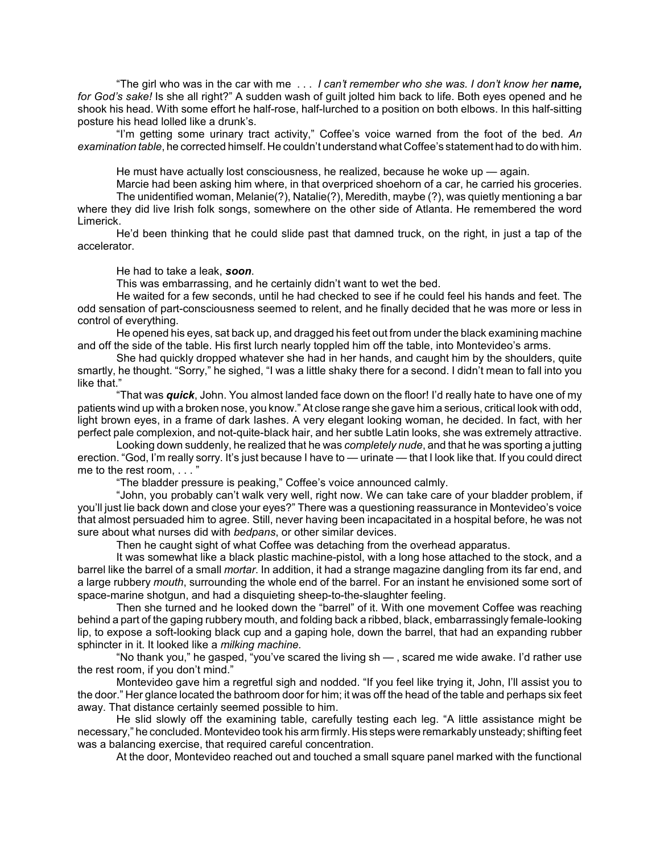ìThe girl who was in the car with me . . . *I canít remember who she was. I donít know her name, for Godís sake!* Is she all right?î A sudden wash of guilt jolted him back to life. Both eyes opened and he shook his head. With some effort he half-rose, half-lurched to a position on both elbows. In this half-sitting posture his head lolled like a drunk's.

"I'm getting some urinary tract activity," Coffee's voice warned from the foot of the bed. An *examination table*, he corrected himself. He couldnít understand what Coffeeís statement had to do with him.

He must have actually lost consciousness, he realized, because he woke up  $-$  again.

Marcie had been asking him where, in that overpriced shoehorn of a car, he carried his groceries. The unidentified woman, Melanie(?), Natalie(?), Meredith, maybe (?), was quietly mentioning a bar

where they did live Irish folk songs, somewhere on the other side of Atlanta. He remembered the word Limerick.

Heíd been thinking that he could slide past that damned truck, on the right, in just a tap of the accelerator.

He had to take a leak, *soon*.

This was embarrassing, and he certainly didn't want to wet the bed.

He waited for a few seconds, until he had checked to see if he could feel his hands and feet. The odd sensation of part-consciousness seemed to relent, and he finally decided that he was more or less in control of everything.

He opened his eyes, sat back up, and dragged his feet out from under the black examining machine and off the side of the table. His first lurch nearly toppled him off the table, into Montevideo's arms.

She had quickly dropped whatever she had in her hands, and caught him by the shoulders, quite smartly, he thought. "Sorry," he sighed, "I was a little shaky there for a second. I didn't mean to fall into you like that."

"That was *quick*, John. You almost landed face down on the floor! I'd really hate to have one of my patients wind up with a broken nose, you know." At close range she gave him a serious, critical look with odd, light brown eyes, in a frame of dark lashes. A very elegant looking woman, he decided. In fact, with her perfect pale complexion, and not-quite-black hair, and her subtle Latin looks, she was extremely attractive.

Looking down suddenly, he realized that he was *completely nude*, and that he was sporting a jutting erection. "God, I'm really sorry. It's just because I have to — urinate — that I look like that. If you could direct me to the rest room,  $\ldots$ 

"The bladder pressure is peaking," Coffee's voice announced calmly.

"John, you probably can't walk very well, right now. We can take care of your bladder problem, if you'll just lie back down and close your eyes?" There was a questioning reassurance in Montevideo's voice that almost persuaded him to agree. Still, never having been incapacitated in a hospital before, he was not sure about what nurses did with *bedpans*, or other similar devices.

Then he caught sight of what Coffee was detaching from the overhead apparatus.

It was somewhat like a black plastic machine-pistol, with a long hose attached to the stock, and a barrel like the barrel of a small *mortar*. In addition, it had a strange magazine dangling from its far end, and a large rubbery *mouth*, surrounding the whole end of the barrel. For an instant he envisioned some sort of space-marine shotgun, and had a disquieting sheep-to-the-slaughter feeling.

Then she turned and he looked down the "barrel" of it. With one movement Coffee was reaching behind a part of the gaping rubbery mouth, and folding back a ribbed, black, embarrassingly female-looking lip, to expose a soft-looking black cup and a gaping hole, down the barrel, that had an expanding rubber sphincter in it. It looked like a *milking machine.*

"No thank you," he gasped, "you've scared the living sh — , scared me wide awake. I'd rather use the rest room, if you don't mind."

Montevideo gave him a regretful sigh and nodded. "If you feel like trying it, John, I'll assist you to the door.î Her glance located the bathroom door for him; it was off the head of the table and perhaps six feet away. That distance certainly seemed possible to him.

He slid slowly off the examining table, carefully testing each leg. "A little assistance might be necessary,î he concluded. Montevideo took his arm firmly. His steps were remarkably unsteady; shifting feet was a balancing exercise, that required careful concentration.

At the door, Montevideo reached out and touched a small square panel marked with the functional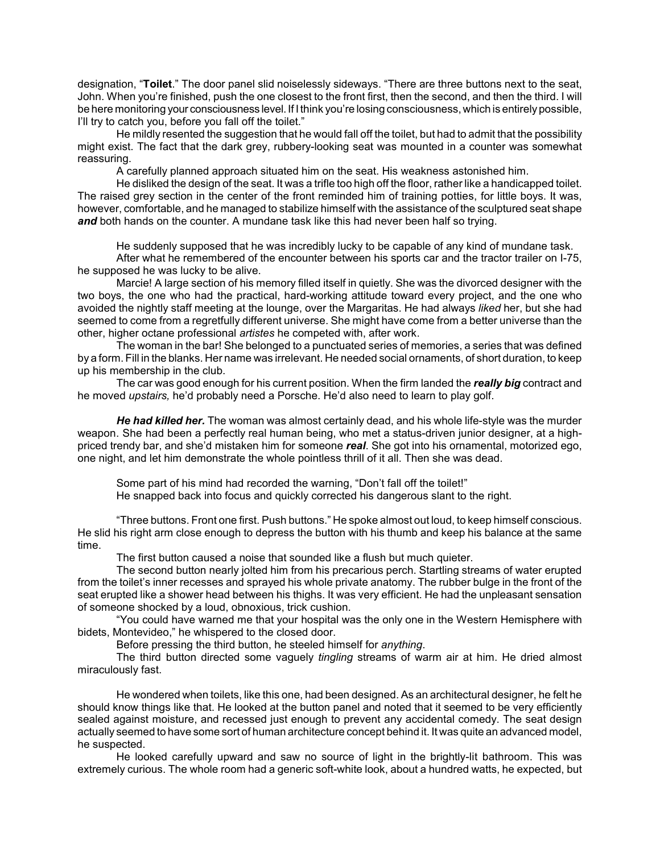designation, "Toilet." The door panel slid noiselessly sideways. "There are three buttons next to the seat, John. When youíre finished, push the one closest to the front first, then the second, and then the third. I will be here monitoring your consciousness level. If I think you're losing consciousness, which is entirely possible, I'll try to catch you, before you fall off the toilet."

He mildly resented the suggestion that he would fall off the toilet, but had to admit that the possibility might exist. The fact that the dark grey, rubbery-looking seat was mounted in a counter was somewhat reassuring.

A carefully planned approach situated him on the seat. His weakness astonished him.

He disliked the design of the seat. It was a trifle too high off the floor, rather like a handicapped toilet. The raised grey section in the center of the front reminded him of training potties, for little boys. It was, however, comfortable, and he managed to stabilize himself with the assistance of the sculptured seat shape **and** both hands on the counter. A mundane task like this had never been half so trying.

He suddenly supposed that he was incredibly lucky to be capable of any kind of mundane task. After what he remembered of the encounter between his sports car and the tractor trailer on I-75, he supposed he was lucky to be alive.

Marcie! A large section of his memory filled itself in quietly. She was the divorced designer with the two boys, the one who had the practical, hard-working attitude toward every project, and the one who avoided the nightly staff meeting at the lounge, over the Margaritas. He had always *liked* her, but she had seemed to come from a regretfully different universe. She might have come from a better universe than the other, higher octane professional *artistes* he competed with, after work.

The woman in the bar! She belonged to a punctuated series of memories, a series that was defined by a form. Fill in the blanks. Her name was irrelevant. He needed social ornaments, of short duration, to keep up his membership in the club.

The car was good enough for his current position. When the firm landed the *really big* contract and he moved *upstairs,* heíd probably need a Porsche. Heíd also need to learn to play golf.

*He had killed her.* The woman was almost certainly dead, and his whole life-style was the murder weapon. She had been a perfectly real human being, who met a status-driven junior designer, at a highpriced trendy bar, and sheíd mistaken him for someone *real*. She got into his ornamental, motorized ego, one night, and let him demonstrate the whole pointless thrill of it all. Then she was dead.

Some part of his mind had recorded the warning, "Don't fall off the toilet!" He snapped back into focus and quickly corrected his dangerous slant to the right.

ìThree buttons. Front one first. Push buttons.î He spoke almost out loud, to keep himself conscious. He slid his right arm close enough to depress the button with his thumb and keep his balance at the same time.

The first button caused a noise that sounded like a flush but much quieter.

The second button nearly jolted him from his precarious perch. Startling streams of water erupted from the toiletís inner recesses and sprayed his whole private anatomy. The rubber bulge in the front of the seat erupted like a shower head between his thighs. It was very efficient. He had the unpleasant sensation of someone shocked by a loud, obnoxious, trick cushion.

ìYou could have warned me that your hospital was the only one in the Western Hemisphere with bidets, Montevideo," he whispered to the closed door.

Before pressing the third button, he steeled himself for *anything*.

The third button directed some vaguely *tingling* streams of warm air at him. He dried almost miraculously fast.

He wondered when toilets, like this one, had been designed. As an architectural designer, he felt he should know things like that. He looked at the button panel and noted that it seemed to be very efficiently sealed against moisture, and recessed just enough to prevent any accidental comedy. The seat design actually seemed to have some sort of human architecture concept behind it. It was quite an advanced model, he suspected.

He looked carefully upward and saw no source of light in the brightly-lit bathroom. This was extremely curious. The whole room had a generic soft-white look, about a hundred watts, he expected, but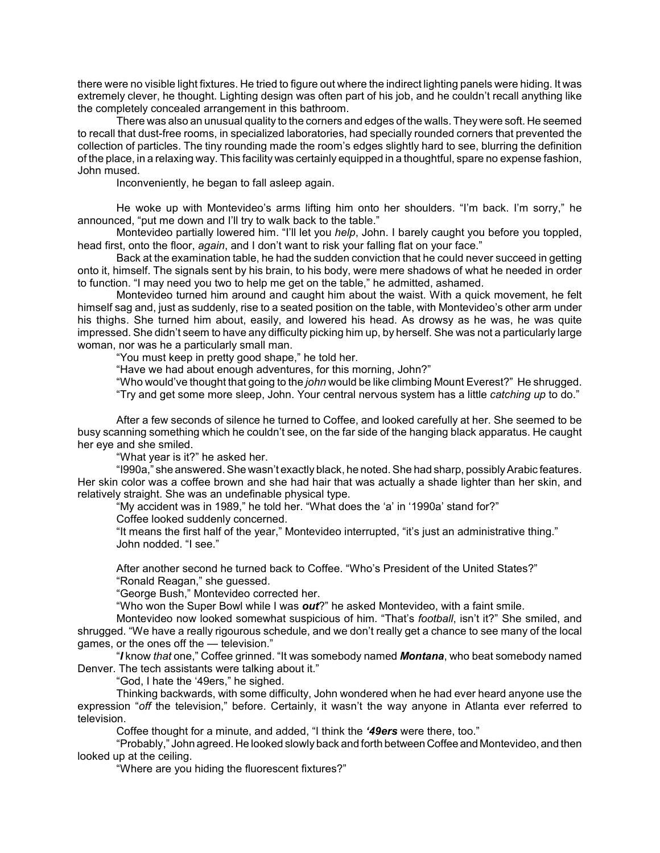there were no visible light fixtures. He tried to figure out where the indirect lighting panels were hiding. It was extremely clever, he thought. Lighting design was often part of his job, and he couldn't recall anything like the completely concealed arrangement in this bathroom.

There was also an unusual quality to the corners and edges of the walls. They were soft. He seemed to recall that dust-free rooms, in specialized laboratories, had specially rounded corners that prevented the collection of particles. The tiny rounding made the room's edges slightly hard to see, blurring the definition of the place, in a relaxing way. This facility was certainly equipped in a thoughtful, spare no expense fashion, John mused.

Inconveniently, he began to fall asleep again.

He woke up with Montevideo's arms lifting him onto her shoulders. "I'm back. I'm sorry," he announced, "put me down and I'll try to walk back to the table."

Montevideo partially lowered him. "I'll let you *help*, John. I barely caught you before you toppled, head first, onto the floor, *again*, and I don't want to risk your falling flat on your face."

Back at the examination table, he had the sudden conviction that he could never succeed in getting onto it, himself. The signals sent by his brain, to his body, were mere shadows of what he needed in order to function. "I may need you two to help me get on the table," he admitted, ashamed.

Montevideo turned him around and caught him about the waist. With a quick movement, he felt himself sag and, just as suddenly, rise to a seated position on the table, with Montevideo's other arm under his thighs. She turned him about, easily, and lowered his head. As drowsy as he was, he was quite impressed. She didnít seem to have any difficulty picking him up, by herself. She was not a particularly large woman, nor was he a particularly small man.

"You must keep in pretty good shape," he told her.

"Have we had about enough adventures, for this morning, John?"

ìWho wouldíve thought that going to the *john* would be like climbing Mount Everest?î He shrugged.

ìTry and get some more sleep, John. Your central nervous system has a little *catching up* to do.î

After a few seconds of silence he turned to Coffee, and looked carefully at her. She seemed to be busy scanning something which he couldnít see, on the far side of the hanging black apparatus. He caught her eye and she smiled.

"What year is it?" he asked her.

"I990a," she answered. She wasn't exactly black, he noted. She had sharp, possibly Arabic features. Her skin color was a coffee brown and she had hair that was actually a shade lighter than her skin, and relatively straight. She was an undefinable physical type.

"My accident was in 1989," he told her. "What does the 'a' in '1990a' stand for?"

Coffee looked suddenly concerned.

"It means the first half of the year," Montevideo interrupted, "it's just an administrative thing." John nodded. "I see."

After another second he turned back to Coffee. "Who's President of the United States?" "Ronald Reagan," she guessed.

"George Bush," Montevideo corrected her.

ìWho won the Super Bowl while I was *out*?î he asked Montevideo, with a faint smile.

Montevideo now looked somewhat suspicious of him. "That's *football*, isn't it?" She smiled, and shrugged. "We have a really rigourous schedule, and we don't really get a chance to see many of the local games, or the ones off the  $-$  television."

ì*I* know *that* one,î Coffee grinned. ìIt was somebody named *Montana*, who beat somebody named Denver. The tech assistants were talking about it."

"God, I hate the '49ers," he sighed.

Thinking backwards, with some difficulty, John wondered when he had ever heard anyone use the expression "off the television," before. Certainly, it wasn't the way anyone in Atlanta ever referred to television.

Coffee thought for a minute, and added, "I think the '49ers were there, too.<sup>"</sup>

ìProbably,î John agreed. He looked slowly back and forth between Coffee and Montevideo, and then looked up at the ceiling.

"Where are you hiding the fluorescent fixtures?"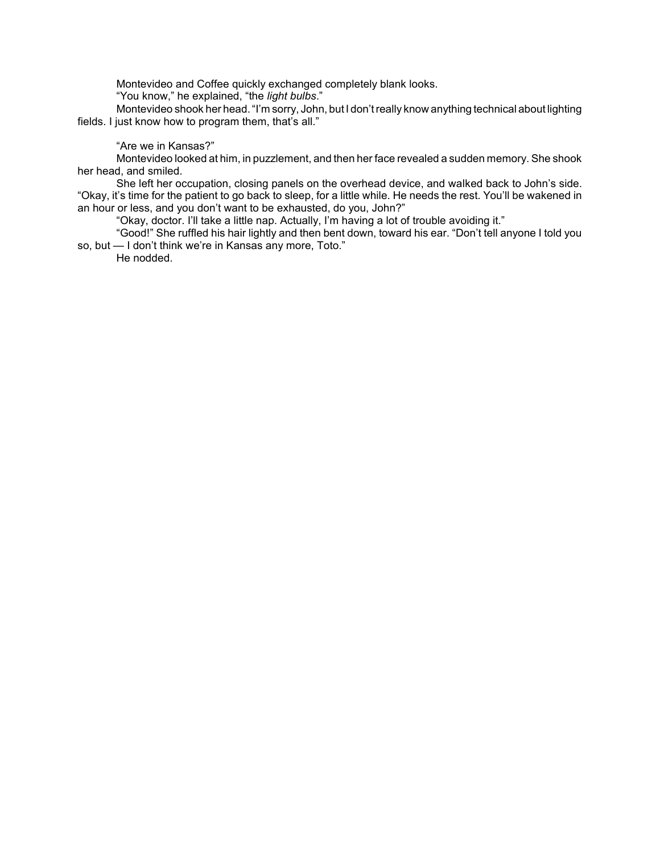Montevideo and Coffee quickly exchanged completely blank looks.

"You know," he explained, "the *light bulbs*."

Montevideo shook her head. "I'm sorry, John, but I don't really know anything technical about lighting fields. I just know how to program them, that's all."

# "Are we in Kansas?"

Montevideo looked at him, in puzzlement, and then her face revealed a sudden memory. She shook her head, and smiled.

She left her occupation, closing panels on the overhead device, and walked back to John's side. "Okay, it's time for the patient to go back to sleep, for a little while. He needs the rest. You'll be wakened in an hour or less, and you don't want to be exhausted, do you, John?"

"Okay, doctor. I'll take a little nap. Actually, I'm having a lot of trouble avoiding it."

"Good!" She ruffled his hair lightly and then bent down, toward his ear. "Don't tell anyone I told you so, but - I don't think we're in Kansas any more, Toto.<sup>"</sup>

He nodded.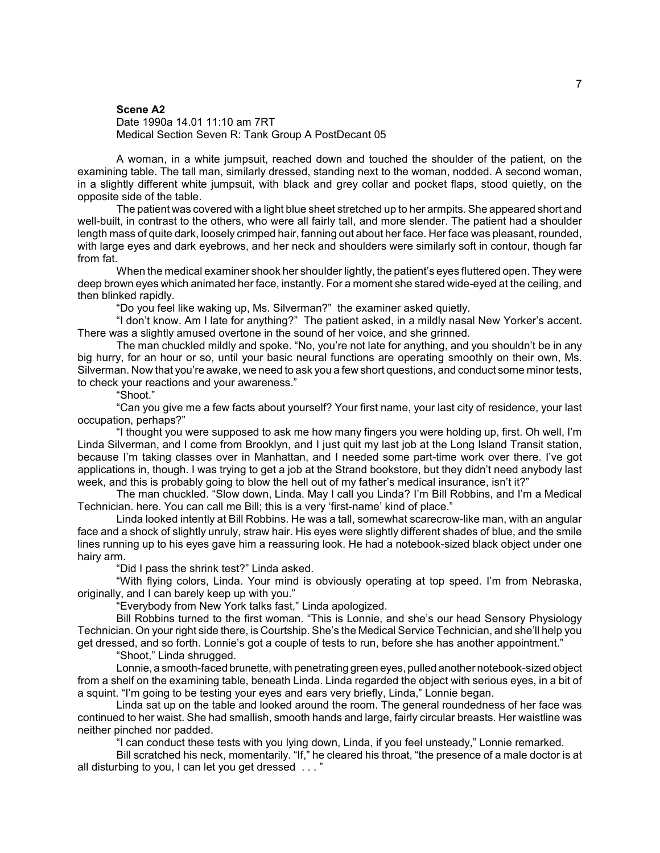#### **Scene A2**

#### Date 1990a 14.01 11:10 am 7RT Medical Section Seven R: Tank Group A PostDecant 05

A woman, in a white jumpsuit, reached down and touched the shoulder of the patient, on the examining table. The tall man, similarly dressed, standing next to the woman, nodded. A second woman, in a slightly different white jumpsuit, with black and grey collar and pocket flaps, stood quietly, on the opposite side of the table.

The patient was covered with a light blue sheet stretched up to her armpits. She appeared short and well-built, in contrast to the others, who were all fairly tall, and more slender. The patient had a shoulder length mass of quite dark, loosely crimped hair, fanning out about her face. Her face was pleasant, rounded, with large eyes and dark eyebrows, and her neck and shoulders were similarly soft in contour, though far from fat.

When the medical examiner shook her shoulder lightly, the patient's eyes fluttered open. They were deep brown eyes which animated her face, instantly. For a moment she stared wide-eyed at the ceiling, and then blinked rapidly.

ìDo you feel like waking up, Ms. Silverman?î the examiner asked quietly.

"I don't know. Am I late for anything?" The patient asked, in a mildly nasal New Yorker's accent. There was a slightly amused overtone in the sound of her voice, and she grinned.

The man chuckled mildly and spoke. "No, you're not late for anything, and you shouldn't be in any big hurry, for an hour or so, until your basic neural functions are operating smoothly on their own, Ms. Silverman. Now that you're awake, we need to ask you a few short questions, and conduct some minor tests, to check your reactions and your awareness."

ìShoot.î

ìCan you give me a few facts about yourself? Your first name, your last city of residence, your last occupation, perhaps?"

"I thought you were supposed to ask me how many fingers you were holding up, first. Oh well, I'm Linda Silverman, and I come from Brooklyn, and I just quit my last job at the Long Island Transit station, because Iím taking classes over in Manhattan, and I needed some part-time work over there. Iíve got applications in, though. I was trying to get a job at the Strand bookstore, but they didnít need anybody last week, and this is probably going to blow the hell out of my father's medical insurance, isn't it?"

The man chuckled. "Slow down, Linda. May I call you Linda? I'm Bill Robbins, and I'm a Medical Technician. here. You can call me Bill; this is a very 'first-name' kind of place."

Linda looked intently at Bill Robbins. He was a tall, somewhat scarecrow-like man, with an angular face and a shock of slightly unruly, straw hair. His eyes were slightly different shades of blue, and the smile lines running up to his eyes gave him a reassuring look. He had a notebook-sized black object under one hairy arm.

"Did I pass the shrink test?" Linda asked.

ìWith flying colors, Linda. Your mind is obviously operating at top speed. Iím from Nebraska, originally, and I can barely keep up with you."

"Everybody from New York talks fast," Linda apologized.

Bill Robbins turned to the first woman. "This is Lonnie, and she's our head Sensory Physiology Technician. On your right side there, is Courtship. She's the Medical Service Technician, and she'll help you get dressed, and so forth. Lonnie's got a couple of tests to run, before she has another appointment."

"Shoot," Linda shrugged.

Lonnie, a smooth-faced brunette, with penetrating green eyes, pulled another notebook-sized object from a shelf on the examining table, beneath Linda. Linda regarded the object with serious eyes, in a bit of a squint. "I'm going to be testing your eyes and ears very briefly, Linda," Lonnie began.

Linda sat up on the table and looked around the room. The general roundedness of her face was continued to her waist. She had smallish, smooth hands and large, fairly circular breasts. Her waistline was neither pinched nor padded.

"I can conduct these tests with you lying down, Linda, if you feel unsteady," Lonnie remarked.

Bill scratched his neck, momentarily. "If," he cleared his throat, "the presence of a male doctor is at all disturbing to you, I can let you get dressed . . . "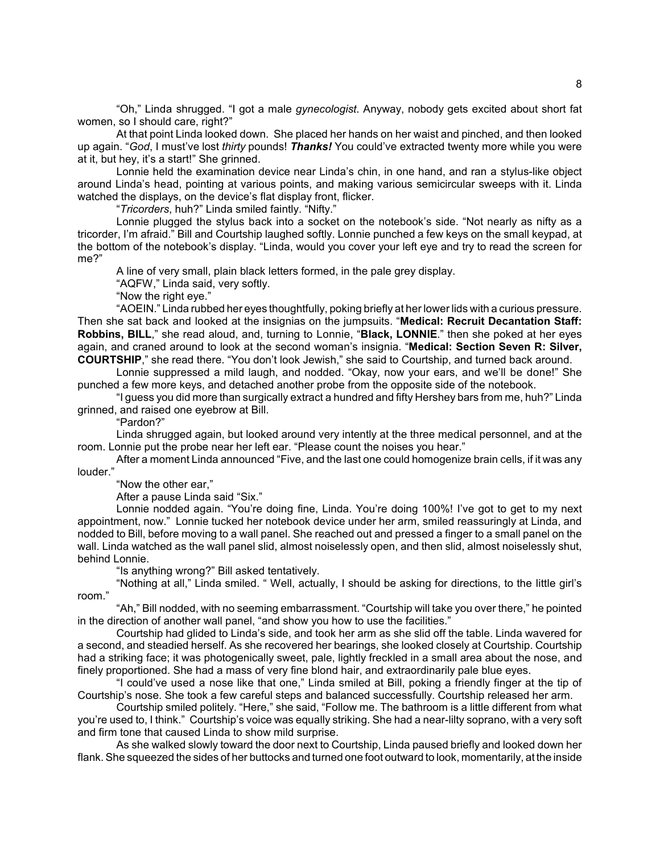ìOh,î Linda shrugged. ìI got a male *gynecologist*. Anyway, nobody gets excited about short fat women, so I should care, right?"

At that point Linda looked down. She placed her hands on her waist and pinched, and then looked up again. "God, I must've lost *thirty* pounds! *Thanks!* You could've extracted twenty more while you were at it, but hey, it's a start!" She grinned.

Lonnie held the examination device near Linda's chin, in one hand, and ran a stylus-like object around Lindaís head, pointing at various points, and making various semicircular sweeps with it. Linda watched the displays, on the device's flat display front, flicker.

*<sup>\*</sup>Tricorders*, huh?" Linda smiled faintly. "Nifty."

Lonnie plugged the stylus back into a socket on the notebook's side. "Not nearly as nifty as a tricorder, I'm afraid." Bill and Courtship laughed softly. Lonnie punched a few keys on the small keypad, at the bottom of the notebook's display. "Linda, would you cover your left eye and try to read the screen for me?"

A line of very small, plain black letters formed, in the pale grey display.

"AQFW," Linda said, very softly.

"Now the right eye."

ìAOEIN.î Linda rubbed her eyes thoughtfully, poking briefly at her lower lids with a curious pressure. Then she sat back and looked at the insignias on the jumpsuits. "**Medical: Recruit Decantation Staff: Robbins, BILL**," she read aloud, and, turning to Lonnie, "Black, LONNIE." then she poked at her eyes again, and craned around to look at the second woman's insignia. "Medical: Section Seven R: Silver, **COURTSHIP**," she read there. "You don't look Jewish," she said to Courtship, and turned back around.

Lonnie suppressed a mild laugh, and nodded. "Okay, now your ears, and we'll be done!" She punched a few more keys, and detached another probe from the opposite side of the notebook.

"I guess you did more than surgically extract a hundred and fifty Hershey bars from me, huh?" Linda grinned, and raised one eyebrow at Bill.

ìPardon?î

Linda shrugged again, but looked around very intently at the three medical personnel, and at the room. Lonnie put the probe near her left ear. "Please count the noises you hear."

After a moment Linda announced "Five, and the last one could homogenize brain cells, if it was any louder.'

"Now the other ear,"

After a pause Linda said "Six."

Lonnie nodded again. "You're doing fine, Linda. You're doing 100%! I've got to get to my next appointment, now." Lonnie tucked her notebook device under her arm, smiled reassuringly at Linda, and nodded to Bill, before moving to a wall panel. She reached out and pressed a finger to a small panel on the wall. Linda watched as the wall panel slid, almost noiselessly open, and then slid, almost noiselessly shut, behind Lonnie.

"Is anything wrong?" Bill asked tentatively.

"Nothing at all," Linda smiled. " Well, actually, I should be asking for directions, to the little girl's room."

"Ah," Bill nodded, with no seeming embarrassment. "Courtship will take you over there," he pointed in the direction of another wall panel, "and show you how to use the facilities."

Courtship had glided to Lindaís side, and took her arm as she slid off the table. Linda wavered for a second, and steadied herself. As she recovered her bearings, she looked closely at Courtship. Courtship had a striking face; it was photogenically sweet, pale, lightly freckled in a small area about the nose, and finely proportioned. She had a mass of very fine blond hair, and extraordinarily pale blue eyes.

"I could've used a nose like that one," Linda smiled at Bill, poking a friendly finger at the tip of Courtshipís nose. She took a few careful steps and balanced successfully. Courtship released her arm.

Courtship smiled politely. "Here," she said, "Follow me. The bathroom is a little different from what you're used to, I think." Courtship's voice was equally striking. She had a near-lilty soprano, with a very soft and firm tone that caused Linda to show mild surprise.

As she walked slowly toward the door next to Courtship, Linda paused briefly and looked down her flank. She squeezed the sides of her buttocks and turned one foot outward to look, momentarily, at the inside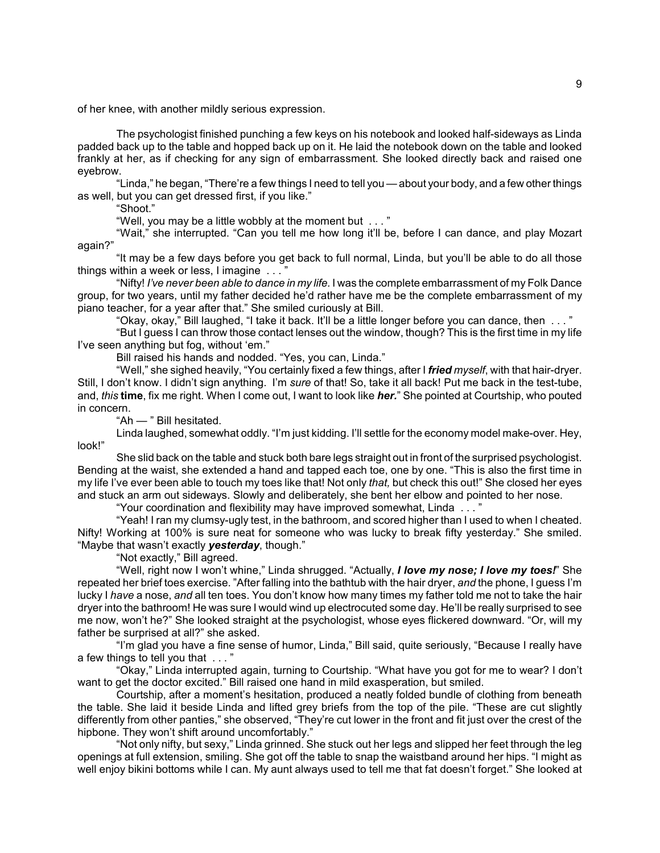of her knee, with another mildly serious expression.

The psychologist finished punching a few keys on his notebook and looked half-sideways as Linda padded back up to the table and hopped back up on it. He laid the notebook down on the table and looked frankly at her, as if checking for any sign of embarrassment. She looked directly back and raised one eyebrow.

"Linda," he began, "There're a few things I need to tell you — about your body, and a few other things as well, but you can get dressed first, if you like."

"Shoot."

"Well, you may be a little wobbly at the moment but  $\dots$ "

"Wait," she interrupted. "Can you tell me how long it'll be, before I can dance, and play Mozart again?"

"It may be a few days before you get back to full normal, Linda, but you'll be able to do all those things within a week or less,  $l$  imagine  $\ldots$  "

"Nifty! *I've never been able to dance in my life.* I was the complete embarrassment of my Folk Dance group, for two years, until my father decided he'd rather have me be the complete embarrassment of my piano teacher, for a year after that." She smiled curiously at Bill.

"Okay, okay," Bill laughed, "I take it back. It'll be a little longer before you can dance, then ..."

"But I guess I can throw those contact lenses out the window, though? This is the first time in my life I've seen anything but fog, without 'em."

Bill raised his hands and nodded. "Yes, you can, Linda."

"Well," she sighed heavily, "You certainly fixed a few things, after I *fried myself*, with that hair-dryer. Still, I donít know. I didnít sign anything. Iím *sure* of that! So, take it all back! Put me back in the test-tube, and, *this* **time**, fix me right. When I come out, I want to look like *her.*î She pointed at Courtship, who pouted in concern.

"Ah - " Bill hesitated.

Linda laughed, somewhat oddly. "I'm just kidding. I'll settle for the economy model make-over. Hey, look!"

She slid back on the table and stuck both bare legs straight out in front of the surprised psychologist. Bending at the waist, she extended a hand and tapped each toe, one by one. "This is also the first time in my life I've ever been able to touch my toes like that! Not only *that*, but check this out!" She closed her eyes and stuck an arm out sideways. Slowly and deliberately, she bent her elbow and pointed to her nose.

"Your coordination and flexibility may have improved somewhat, Linda  $\dots$ "

"Yeah! I ran my clumsy-ugly test, in the bathroom, and scored higher than I used to when I cheated. Nifty! Working at 100% is sure neat for someone who was lucky to break fifty yesterday." She smiled. "Maybe that wasn't exactly *yesterday*, though."

"Not exactly," Bill agreed.

"Well, right now I won't whine," Linda shrugged. "Actually, *I love my nose; I love my toes!*" She repeated her brief toes exercise. "After falling into the bathtub with the hair dryer, *and* the phone, I guess I'm lucky I *have* a nose, *and* all ten toes. You donít know how many times my father told me not to take the hair dryer into the bathroom! He was sure I would wind up electrocuted some day. He'll be really surprised to see me now, won't he?" She looked straight at the psychologist, whose eyes flickered downward. "Or, will my father be surprised at all?" she asked.

"I'm glad you have a fine sense of humor, Linda," Bill said, quite seriously, "Because I really have a few things to tell you that . . . "

"Okay," Linda interrupted again, turning to Courtship. "What have you got for me to wear? I don't want to get the doctor excited." Bill raised one hand in mild exasperation, but smiled.

Courtship, after a momentís hesitation, produced a neatly folded bundle of clothing from beneath the table. She laid it beside Linda and lifted grey briefs from the top of the pile. "These are cut slightly differently from other panties," she observed, "They're cut lower in the front and fit just over the crest of the hipbone. They won't shift around uncomfortably."

"Not only nifty, but sexy," Linda grinned. She stuck out her legs and slipped her feet through the leg openings at full extension, smiling. She got off the table to snap the waistband around her hips. "I might as well enjoy bikini bottoms while I can. My aunt always used to tell me that fat doesn't forget." She looked at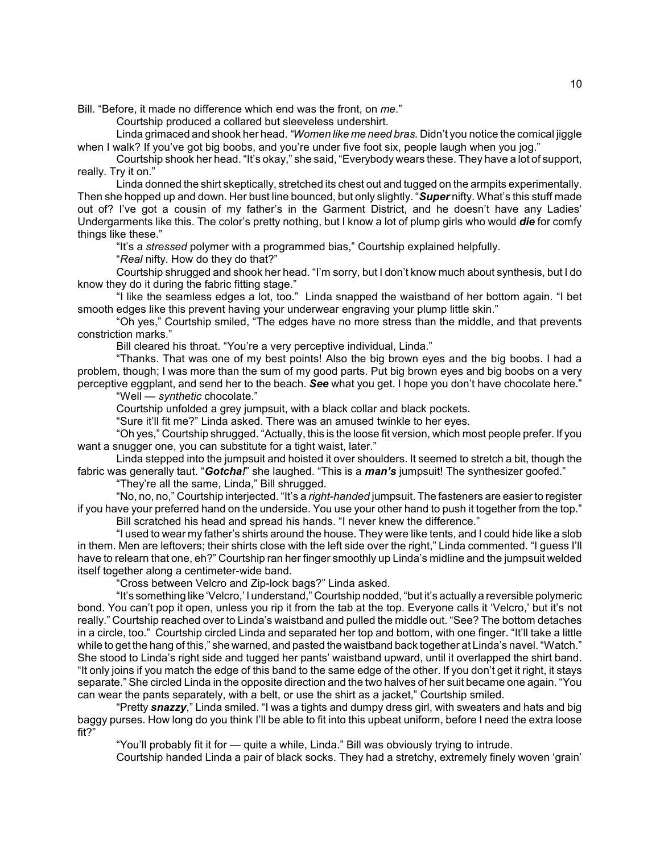Bill. "Before, it made no difference which end was the front, on me."

Courtship produced a collared but sleeveless undershirt.

Linda grimaced and shook her head. *ìWomen like me need bras.* Didnít you notice the comical jiggle when I walk? If you've got big boobs, and you're under five foot six, people laugh when you jog."

Courtship shook her head. "It's okay," she said, "Everybody wears these. They have a lot of support, really. Try it on."

Linda donned the shirt skeptically, stretched its chest out and tugged on the armpits experimentally. Then she hopped up and down. Her bust line bounced, but only slightly. *"Super* nifty. What's this stuff made out of? I've got a cousin of my father's in the Garment District, and he doesn't have any Ladies' Undergarments like this. The colorís pretty nothing, but I know a lot of plump girls who would *die* for comfy things like these."

"It's a *stressed* polymer with a programmed bias," Courtship explained helpfully.

*'Real nifty. How do they do that?"* 

Courtship shrugged and shook her head. "I'm sorry, but I don't know much about synthesis, but I do know they do it during the fabric fitting stage."

"I like the seamless edges a lot, too." Linda snapped the waistband of her bottom again. "I bet smooth edges like this prevent having your underwear engraving your plump little skin."

"Oh yes," Courtship smiled, "The edges have no more stress than the middle, and that prevents constriction marks."

Bill cleared his throat. "You're a very perceptive individual, Linda."

"Thanks. That was one of my best points! Also the big brown eyes and the big boobs. I had a problem, though; I was more than the sum of my good parts. Put big brown eyes and big boobs on a very perceptive eggplant, and send her to the beach. See what you get. I hope you don't have chocolate here.<sup>"</sup>

"Well *— synthetic* chocolate."

Courtship unfolded a grey jumpsuit, with a black collar and black pockets.

"Sure it'll fit me?" Linda asked. There was an amused twinkle to her eyes.

"Oh yes," Courtship shrugged. "Actually, this is the loose fit version, which most people prefer. If you want a snugger one, you can substitute for a tight waist, later."

Linda stepped into the jumpsuit and hoisted it over shoulders. It seemed to stretch a bit, though the fabric was generally taut. "*Gotcha!*" she laughed. "This is a *man's* jumpsuit! The synthesizer goofed."

"They're all the same, Linda," Bill shrugged.

"No, no, no," Courtship interjected. "It's a *right-handed* jumpsuit. The fasteners are easier to register if you have your preferred hand on the underside. You use your other hand to push it together from the top." Bill scratched his head and spread his hands. "I never knew the difference."

"I used to wear my father's shirts around the house. They were like tents, and I could hide like a slob in them. Men are leftovers; their shirts close with the left side over the right," Linda commented. "I guess I'll have to relearn that one, eh?" Courtship ran her finger smoothly up Linda's midline and the jumpsuit welded itself together along a centimeter-wide band.

"Cross between Velcro and Zip-lock bags?" Linda asked.

"It's something like 'Velcro,' I understand," Courtship nodded, "but it's actually a reversible polymeric bond. You can't pop it open, unless you rip it from the tab at the top. Everyone calls it 'Velcro,' but it's not really." Courtship reached over to Linda's waistband and pulled the middle out. "See? The bottom detaches in a circle, too." Courtship circled Linda and separated her top and bottom, with one finger. "It'll take a little while to get the hang of this," she warned, and pasted the waistband back together at Linda's navel. "Watch." She stood to Linda's right side and tugged her pants' waistband upward, until it overlapped the shirt band. "It only joins if you match the edge of this band to the same edge of the other. If you don't get it right, it stays separate." She circled Linda in the opposite direction and the two halves of her suit became one again. "You can wear the pants separately, with a belt, or use the shirt as a jacket," Courtship smiled.

"Pretty **snazzy**," Linda smiled. "I was a tights and dumpy dress girl, with sweaters and hats and big baggy purses. How long do you think I'll be able to fit into this upbeat uniform, before I need the extra loose  $fit2$ <sup>n</sup>

"You'll probably fit it for — quite a while, Linda." Bill was obviously trying to intrude.

Courtship handed Linda a pair of black socks. They had a stretchy, extremely finely woven 'grain'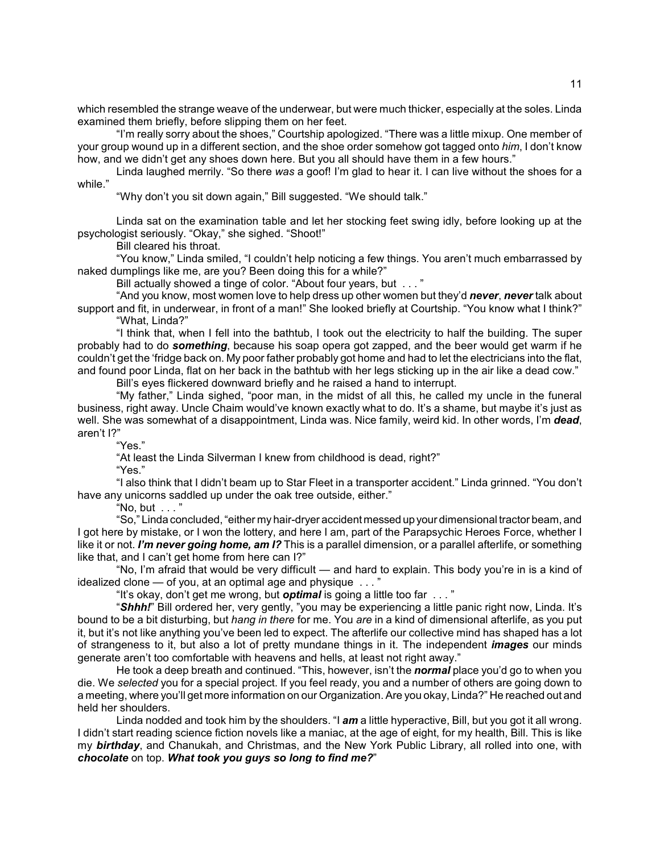which resembled the strange weave of the underwear, but were much thicker, especially at the soles. Linda examined them briefly, before slipping them on her feet.

"I'm really sorry about the shoes," Courtship apologized. "There was a little mixup. One member of your group wound up in a different section, and the shoe order somehow got tagged onto *him*, I donít know how, and we didn't get any shoes down here. But you all should have them in a few hours."

Linda laughed merrily. "So there was a goof! I'm glad to hear it. I can live without the shoes for a while."

"Why don't you sit down again," Bill suggested. "We should talk."

Linda sat on the examination table and let her stocking feet swing idly, before looking up at the psychologist seriously. "Okay," she sighed. "Shoot!"

Bill cleared his throat.

"You know," Linda smiled, "I couldn't help noticing a few things. You aren't much embarrassed by naked dumplings like me, are you? Been doing this for a while?"

Bill actually showed a tinge of color. "About four years, but  $\dots$ "

ìAnd you know, most women love to help dress up other women but theyíd *never*, *never* talk about support and fit, in underwear, in front of a man!" She looked briefly at Courtship. "You know what I think?" ìWhat, Linda?î

"I think that, when I fell into the bathtub, I took out the electricity to half the building. The super probably had to do *something*, because his soap opera got zapped, and the beer would get warm if he couldnít get the ëfridge back on. My poor father probably got home and had to let the electricians into the flat, and found poor Linda, flat on her back in the bathtub with her legs sticking up in the air like a dead cow."

Bill's eyes flickered downward briefly and he raised a hand to interrupt.

"My father," Linda sighed, "poor man, in the midst of all this, he called my uncle in the funeral business, right away. Uncle Chaim would've known exactly what to do. It's a shame, but maybe it's just as well. She was somewhat of a disappointment, Linda was. Nice family, weird kid. In other words, I'm *dead*, aren't I?"

"Yes."

"At least the Linda Silverman I knew from childhood is dead, right?"

"Yes."

"I also think that I didn't beam up to Star Fleet in a transporter accident." Linda grinned. "You don't have any unicorns saddled up under the oak tree outside, either."

"No, but  $\ldots$ "

ìSo,î Linda concluded, ìeither my hair-dryer accident messed up your dimensional tractor beam, and I got here by mistake, or I won the lottery, and here I am, part of the Parapsychic Heroes Force, whether I like it or not. *Iím never going home, am I?* This is a parallel dimension, or a parallel afterlife, or something like that, and I can't get home from here can I?"

"No, I'm afraid that would be very difficult — and hard to explain. This body you're in is a kind of idealized clone  $-$  of you, at an optimal age and physique  $\ldots$  "

"It's okay, don't get me wrong, but **optimal** is going a little too far ..."

*Shhh!*<sup>n</sup> Bill ordered her, very gently, "you may be experiencing a little panic right now, Linda. It's bound to be a bit disturbing, but *hang in there* for me. You *are* in a kind of dimensional afterlife, as you put it, but itís not like anything youíve been led to expect. The afterlife our collective mind has shaped has a lot of strangeness to it, but also a lot of pretty mundane things in it. The independent *images* our minds generate aren't too comfortable with heavens and hells, at least not right away."

He took a deep breath and continued. "This, however, isn't the **normal** place you'd go to when you die. We *selected* you for a special project. If you feel ready, you and a number of others are going down to a meeting, where you'll get more information on our Organization. Are you okay, Linda?" He reached out and held her shoulders.

Linda nodded and took him by the shoulders. "I **am** a little hyperactive, Bill, but you got it all wrong. I didn't start reading science fiction novels like a maniac, at the age of eight, for my health, Bill. This is like my *birthday*, and Chanukah, and Christmas, and the New York Public Library, all rolled into one, with *chocolate* on top. *What took you guys so long to find me?*î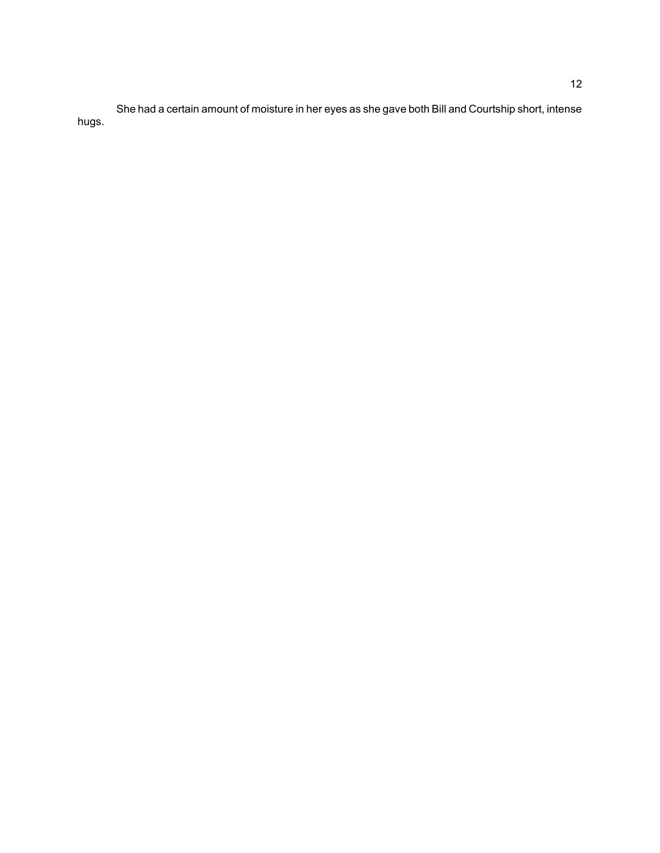She had a certain amount of moisture in her eyes as she gave both Bill and Courtship short, intense hugs.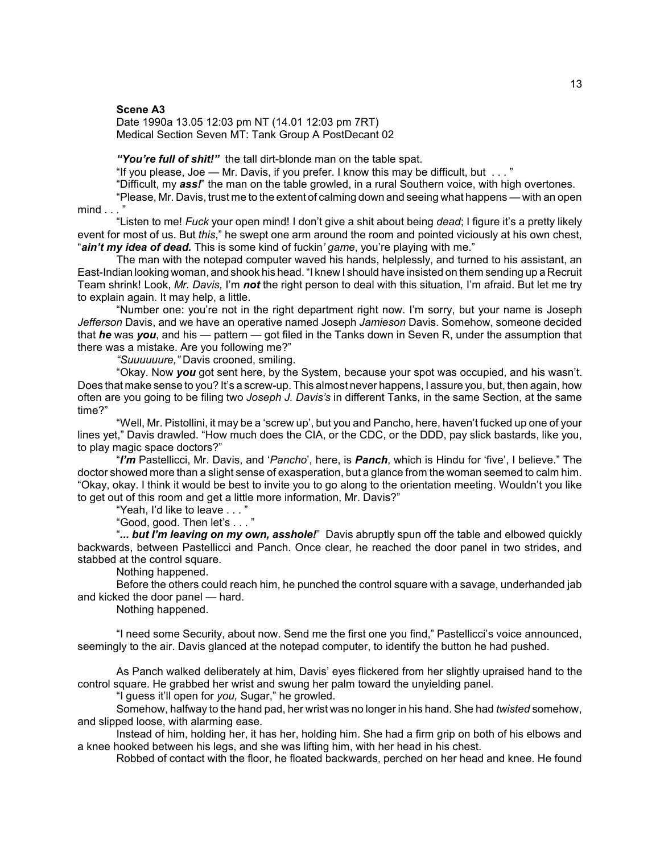# **Scene A3**

### Date 1990a 13.05 12:03 pm NT (14.01 12:03 pm 7RT) Medical Section Seven MT: Tank Group A PostDecant 02

"You're full of shit!" the tall dirt-blonde man on the table spat.

"If you please, Joe  $-$  Mr. Davis, if you prefer. I know this may be difficult, but  $\ldots$  "

"Difficult, my **ass!**" the man on the table growled, in a rural Southern voice, with high overtones.

"Please, Mr. Davis, trust me to the extent of calming down and seeing what happens — with an open  $mind \dots$ 

ìListen to me! *Fuck* your open mind! I donít give a shit about being *dead*; I figure itís a pretty likely event for most of us. But *this*," he swept one arm around the room and pointed viciously at his own chest, *ain't my idea of dead.* This is some kind of fuckin' *game*, you're playing with me."

The man with the notepad computer waved his hands, helplessly, and turned to his assistant, an East-Indian looking woman, and shook his head. "I knew I should have insisted on them sending up a Recruit Team shrink! Look, *Mr. Davis,* Iím *not* the right person to deal with this situation*,* Iím afraid. But let me try to explain again. It may help, a little.

"Number one: you're not in the right department right now. I'm sorry, but your name is Joseph *Jefferson* Davis, and we have an operative named Joseph *Jamieson* Davis. Somehow, someone decided that *he* was you, and his — pattern — got filed in the Tanks down in Seven R, under the assumption that there was a mistake. Are you following me?"

*ìSuuuuuure,î* Davis crooned, smiling.

ìOkay. Now *you* got sent here, by the System, because your spot was occupied, and his wasnít. Does that make sense to you? It's a screw-up. This almost never happens, I assure you, but, then again, how often are you going to be filing two *Joseph J. Davisís* in different Tanks, in the same Section, at the same time?"

"Well, Mr. Pistollini, it may be a 'screw up', but you and Pancho, here, haven't fucked up one of your lines yet," Davis drawled. "How much does the CIA, or the CDC, or the DDD, pay slick bastards, like you, to play magic space doctors?"

*<sup>I</sup>Im* Pastellicci, Mr. Davis, and *'Pancho*', here, is *Panch*, which is Hindu for 'five', I believe.<sup>"</sup> The doctor showed more than a slight sense of exasperation, but a glance from the woman seemed to calm him. ìOkay, okay. I think it would be best to invite you to go along to the orientation meeting. Wouldnít you like to get out of this room and get a little more information, Mr. Davis?"

"Yeah, I'd like to leave  $\dots$ "

"Good, good. Then let's . . . "

"... but I'm leaving on my own, asshole!" Davis abruptly spun off the table and elbowed quickly backwards, between Pastellicci and Panch. Once clear, he reached the door panel in two strides, and stabbed at the control square.

Nothing happened.

Before the others could reach him, he punched the control square with a savage, underhanded jab and kicked the door panel – hard.

Nothing happened.

"I need some Security, about now. Send me the first one you find," Pastellicci's voice announced, seemingly to the air. Davis glanced at the notepad computer, to identify the button he had pushed.

As Panch walked deliberately at him, Davis' eyes flickered from her slightly upraised hand to the control square. He grabbed her wrist and swung her palm toward the unyielding panel.

"I guess it'll open for *you*, Sugar," he growled.

Somehow, halfway to the hand pad, her wrist was no longer in his hand. She had *twisted* somehow, and slipped loose, with alarming ease.

Instead of him, holding her, it has her, holding him. She had a firm grip on both of his elbows and a knee hooked between his legs, and she was lifting him, with her head in his chest.

Robbed of contact with the floor, he floated backwards, perched on her head and knee. He found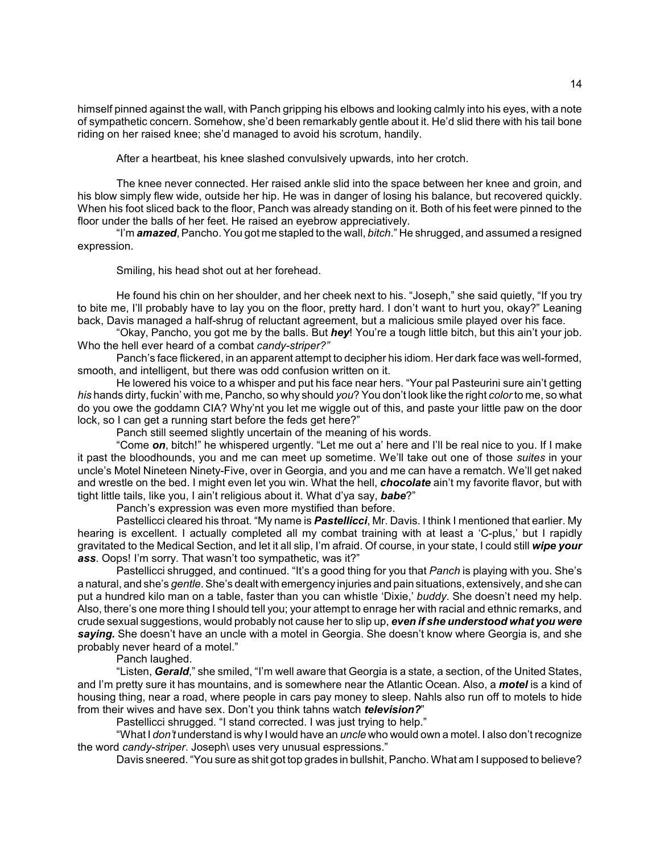himself pinned against the wall, with Panch gripping his elbows and looking calmly into his eyes, with a note of sympathetic concern. Somehow, she'd been remarkably gentle about it. He'd slid there with his tail bone riding on her raised knee; she'd managed to avoid his scrotum, handily.

After a heartbeat, his knee slashed convulsively upwards, into her crotch.

The knee never connected. Her raised ankle slid into the space between her knee and groin, and his blow simply flew wide, outside her hip. He was in danger of losing his balance, but recovered quickly. When his foot sliced back to the floor, Panch was already standing on it. Both of his feet were pinned to the floor under the balls of her feet. He raised an eyebrow appreciatively.

"I'm **amazed**, Pancho. You got me stapled to the wall, *bitch*." He shrugged, and assumed a resigned expression.

Smiling, his head shot out at her forehead.

He found his chin on her shoulder, and her cheek next to his. "Joseph," she said quietly, "If you try to bite me, I'll probably have to lay you on the floor, pretty hard. I don't want to hurt you, okay?" Leaning back, Davis managed a half-shrug of reluctant agreement, but a malicious smile played over his face.

ìOkay, Pancho, you got me by the balls. But *hey*! Youíre a tough little bitch, but this ainít your job. Who the hell ever heard of a combat *candy-striper?î*

Panch's face flickered, in an apparent attempt to decipher his idiom. Her dark face was well-formed, smooth, and intelligent, but there was odd confusion written on it.

He lowered his voice to a whisper and put his face near hers. "Your pal Pasteurini sure ain't getting *his* hands dirty, fuckiní with me, Pancho, so why should *you*? You donít look like the right *color* to me, so what do you owe the goddamn CIA? Whyínt you let me wiggle out of this, and paste your little paw on the door lock, so I can get a running start before the feds get here?"

Panch still seemed slightly uncertain of the meaning of his words.

"Come *on*, bitch!" he whispered urgently. "Let me out a' here and I'll be real nice to you. If I make it past the bloodhounds, you and me can meet up sometime. Weíll take out one of those *suites* in your uncle's Motel Nineteen Ninety-Five, over in Georgia, and you and me can have a rematch. We'll get naked and wrestle on the bed. I might even let you win. What the hell, *chocolate* ain't my favorite flavor, but with tight little tails, like you, I ain't religious about it. What d'ya say, babe?"

Panch's expression was even more mystified than before.

Pastellicci cleared his throat. "My name is **Pastellicci**, Mr. Davis. I think I mentioned that earlier. My hearing is excellent. I actually completed all my combat training with at least a 'C-plus,' but I rapidly gravitated to the Medical Section, and let it all slip, Iím afraid. Of course, in your state, I could still *wipe your* ass. Oops! I'm sorry. That wasn't too sympathetic, was it?"

Pastellicci shrugged, and continued. "It's a good thing for you that *Panch* is playing with you. She's a natural, and sheís *gentle*. Sheís dealt with emergency injuries and pain situations, extensively, and she can put a hundred kilo man on a table, faster than you can whistle 'Dixie,' *buddy*. She doesn't need my help. Also, there's one more thing I should tell you; your attempt to enrage her with racial and ethnic remarks, and crude sexual suggestions, would probably not cause her to slip up, *even if she understood what you were* saying. She doesn't have an uncle with a motel in Georgia. She doesn't know where Georgia is, and she probably never heard of a motel."

Panch laughed.

"Listen, *Gerald*," she smiled, "I'm well aware that Georgia is a state, a section, of the United States, and Iím pretty sure it has mountains, and is somewhere near the Atlantic Ocean. Also, a *motel* is a kind of housing thing, near a road, where people in cars pay money to sleep. Nahls also run off to motels to hide from their wives and have sex. Don't you think tahns watch *television?*"

Pastellicci shrugged. "I stand corrected. I was just trying to help."

ìWhat I *donít* understand is why I would have an *uncle* who would own a motel. I also donít recognize the word *candy-striper*. Joseph\ uses very unusual espressions.<sup>"</sup>

Davis sneered. "You sure as shit got top grades in bullshit, Pancho. What am I supposed to believe?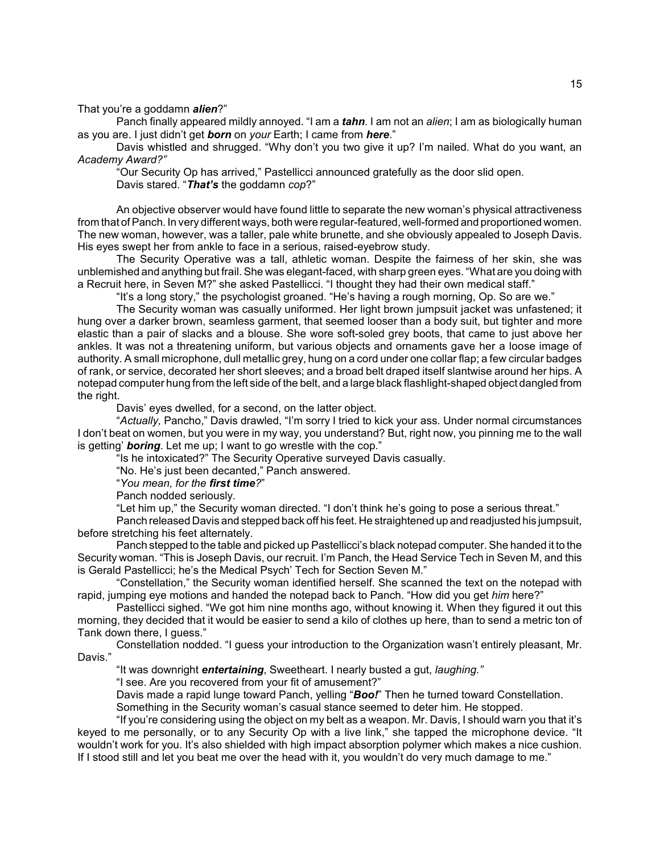# That you're a goddamn *alien*?"

Panch finally appeared mildly annoyed. "I am a *tahn*. I am not an *alien*; I am as biologically human as you are. I just didn't get **born** on *your* Earth; I came from *here.*"

Davis whistled and shrugged. "Why don't you two give it up? I'm nailed. What do you want, an *Academy Award?î*

"Our Security Op has arrived," Pastellicci announced gratefully as the door slid open. Davis stared. "That's the goddamn *cop*?"

An objective observer would have found little to separate the new womanís physical attractiveness from that of Panch. In very different ways, both were regular-featured, well-formed and proportioned women. The new woman, however, was a taller, pale white brunette, and she obviously appealed to Joseph Davis. His eyes swept her from ankle to face in a serious, raised-eyebrow study.

The Security Operative was a tall, athletic woman. Despite the fairness of her skin, she was unblemished and anything but frail. She was elegant-faced, with sharp green eyes. "What are you doing with a Recruit here, in Seven M?" she asked Pastellicci. "I thought they had their own medical staff."

"It's a long story," the psychologist groaned. "He's having a rough morning, Op. So are we."

The Security woman was casually uniformed. Her light brown jumpsuit jacket was unfastened; it hung over a darker brown, seamless garment, that seemed looser than a body suit, but tighter and more elastic than a pair of slacks and a blouse. She wore soft-soled grey boots, that came to just above her ankles. It was not a threatening uniform, but various objects and ornaments gave her a loose image of authority. A small microphone, dull metallic grey, hung on a cord under one collar flap; a few circular badges of rank, or service, decorated her short sleeves; and a broad belt draped itself slantwise around her hips. A notepad computer hung from the left side of the belt, and a large black flashlight-shaped object dangled from the right.

Davis' eyes dwelled, for a second, on the latter object.

"Actually, Pancho," Davis drawled, "I'm sorry I tried to kick your ass. Under normal circumstances I donít beat on women, but you were in my way, you understand? But, right now, you pinning me to the wall is getting' **boring**. Let me up; I want to go wrestle with the cop."

"Is he intoxicated?" The Security Operative surveyed Davis casually.

"No. He's just been decanted," Panch answered.

ì*You mean, for the first time?*î

Panch nodded seriously.

"Let him up," the Security woman directed. "I don't think he's going to pose a serious threat."

Panch released Davis and stepped back off his feet. He straightened up and readjusted his jumpsuit, before stretching his feet alternately.

Panch stepped to the table and picked up Pastellicciís black notepad computer. She handed it to the Security woman. "This is Joseph Davis, our recruit. I'm Panch, the Head Service Tech in Seven M, and this is Gerald Pastellicci; he's the Medical Psych' Tech for Section Seven M."

"Constellation," the Security woman identified herself. She scanned the text on the notepad with rapid, jumping eye motions and handed the notepad back to Panch. "How did you get *him* here?"

Pastellicci sighed. "We got him nine months ago, without knowing it. When they figured it out this morning, they decided that it would be easier to send a kilo of clothes up here, than to send a metric ton of Tank down there, I guess."

Constellation nodded. "I guess your introduction to the Organization wasn't entirely pleasant, Mr. Davis."

"It was downright *entertaining*, Sweetheart. I nearly busted a gut, *laughing.*"

"I see. Are you recovered from your fit of amusement?"

Davis made a rapid lunge toward Panch, yelling "Boo!" Then he turned toward Constellation.

Something in the Security womanís casual stance seemed to deter him. He stopped.

"If you're considering using the object on my belt as a weapon. Mr. Davis, I should warn you that it's keyed to me personally, or to any Security Op with a live link," she tapped the microphone device. "It wouldn't work for you. It's also shielded with high impact absorption polymer which makes a nice cushion. If I stood still and let you beat me over the head with it, you wouldn't do very much damage to me."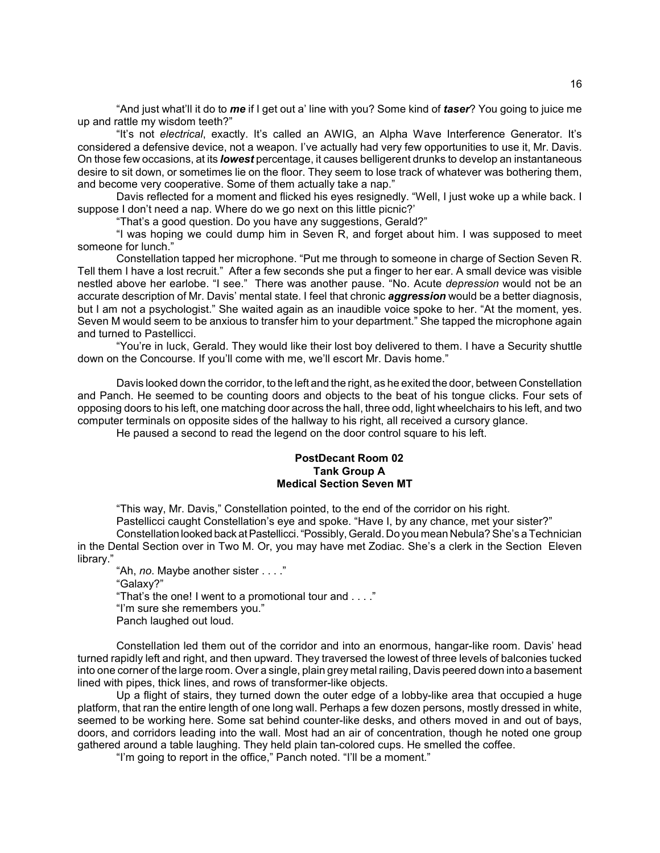ìAnd just whatíll it do to *me* if I get out aí line with you? Some kind of *taser*? You going to juice me up and rattle my wisdom teeth?"

"It's not *electrical*, exactly. It's called an AWIG, an Alpha Wave Interference Generator. It's considered a defensive device, not a weapon. I've actually had very few opportunities to use it, Mr. Davis. On those few occasions, at its *lowest* percentage, it causes belligerent drunks to develop an instantaneous desire to sit down, or sometimes lie on the floor. They seem to lose track of whatever was bothering them, and become very cooperative. Some of them actually take a nap."

Davis reflected for a moment and flicked his eyes resignedly. "Well, I just woke up a while back. I suppose I don't need a nap. Where do we go next on this little picnic?'

"That's a good question. Do you have any suggestions, Gerald?"

"I was hoping we could dump him in Seven R, and forget about him. I was supposed to meet someone for lunch."

Constellation tapped her microphone. "Put me through to someone in charge of Section Seven R. Tell them I have a lost recruit.î After a few seconds she put a finger to her ear. A small device was visible nestled above her earlobe. "I see." There was another pause. "No. Acute *depression* would not be an accurate description of Mr. Davis' mental state. I feel that chronic *aggression* would be a better diagnosis, but I am not a psychologist." She waited again as an inaudible voice spoke to her. "At the moment, yes. Seven M would seem to be anxious to transfer him to your department." She tapped the microphone again and turned to Pastellicci.

"You're in luck, Gerald. They would like their lost boy delivered to them. I have a Security shuttle down on the Concourse. If you'll come with me, we'll escort Mr. Davis home."

Davis looked down the corridor, to the left and the right, as he exited the door, between Constellation and Panch. He seemed to be counting doors and objects to the beat of his tongue clicks. Four sets of opposing doors to his left, one matching door across the hall, three odd, light wheelchairs to his left, and two computer terminals on opposite sides of the hallway to his right, all received a cursory glance.

He paused a second to read the legend on the door control square to his left.

# **PostDecant Room 02 Tank Group A Medical Section Seven MT**

"This way, Mr. Davis," Constellation pointed, to the end of the corridor on his right.

Pastellicci caught Constellation's eye and spoke. "Have I, by any chance, met your sister?" Constellation looked back at Pastellicci. "Possibly, Gerald. Do you mean Nebula? She's a Technician in the Dental Section over in Two M. Or, you may have met Zodiac. She's a clerk in the Section Eleven library."

"Ah, *no*. Maybe another sister . . . ." ìGalaxy?î "That's the one! I went to a promotional tour and  $\ldots$ ." "I'm sure she remembers you." Panch laughed out loud.

Constellation led them out of the corridor and into an enormous, hangar-like room. Davis' head turned rapidly left and right, and then upward. They traversed the lowest of three levels of balconies tucked into one corner of the large room. Over a single, plain grey metal railing, Davis peered down into a basement lined with pipes, thick lines, and rows of transformer-like objects.

Up a flight of stairs, they turned down the outer edge of a lobby-like area that occupied a huge platform, that ran the entire length of one long wall. Perhaps a few dozen persons, mostly dressed in white, seemed to be working here. Some sat behind counter-like desks, and others moved in and out of bays, doors, and corridors leading into the wall. Most had an air of concentration, though he noted one group gathered around a table laughing. They held plain tan-colored cups. He smelled the coffee.

"I'm going to report in the office," Panch noted. "I'll be a moment."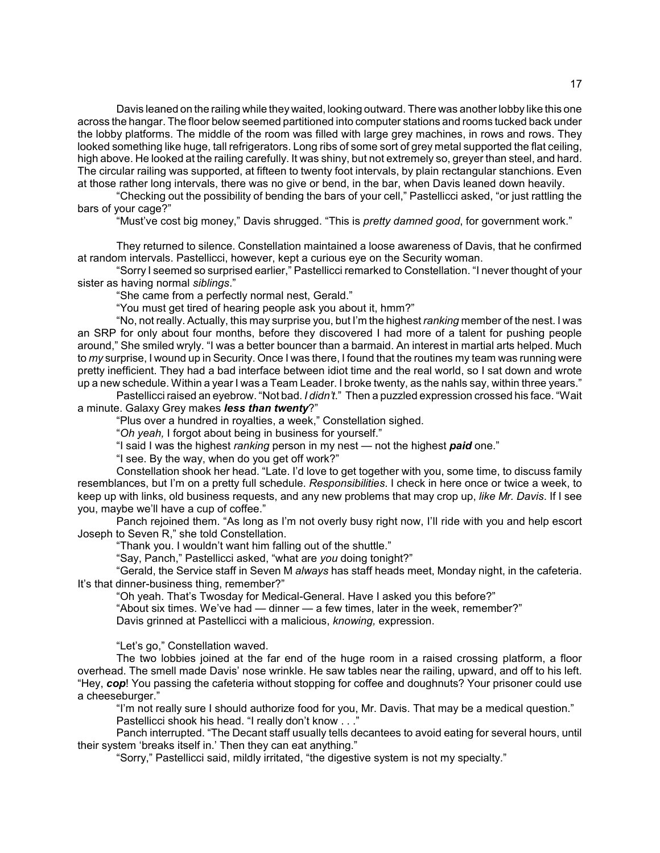Davis leaned on the railing while they waited, looking outward. There was another lobby like this one across the hangar. The floor below seemed partitioned into computer stations and rooms tucked back under the lobby platforms. The middle of the room was filled with large grey machines, in rows and rows. They looked something like huge, tall refrigerators. Long ribs of some sort of grey metal supported the flat ceiling, high above. He looked at the railing carefully. It was shiny, but not extremely so, greyer than steel, and hard. The circular railing was supported, at fifteen to twenty foot intervals, by plain rectangular stanchions. Even at those rather long intervals, there was no give or bend, in the bar, when Davis leaned down heavily.

"Checking out the possibility of bending the bars of your cell," Pastellicci asked, "or just rattling the bars of your cage?"

"Must've cost big money," Davis shrugged. "This is *pretty damned good*, for government work."

They returned to silence. Constellation maintained a loose awareness of Davis, that he confirmed at random intervals. Pastellicci, however, kept a curious eye on the Security woman.

"Sorry I seemed so surprised earlier," Pastellicci remarked to Constellation. "I never thought of your sister as having normal *siblings*."

"She came from a perfectly normal nest, Gerald."

"You must get tired of hearing people ask you about it, hmm?"

"No, not really. Actually, this may surprise you, but I'm the highest *ranking* member of the nest. I was an SRP for only about four months, before they discovered I had more of a talent for pushing people around," She smiled wryly. "I was a better bouncer than a barmaid. An interest in martial arts helped. Much to *my* surprise, I wound up in Security. Once I was there, I found that the routines my team was running were pretty inefficient. They had a bad interface between idiot time and the real world, so I sat down and wrote up a new schedule. Within a year I was a Team Leader. I broke twenty, as the nahls say, within three years."

Pastellicci raised an eyebrow. "Not bad. *I didn't*." Then a puzzled expression crossed his face. "Wait a minute. Galaxy Grey makes *less than twenty*?"

"Plus over a hundred in royalties, a week," Constellation sighed.

<sup>o</sup>Oh yeah, I forgot about being in business for yourself.<sup>n</sup>

"I said I was the highest *ranking* person in my nest — not the highest **paid** one."

"I see. By the way, when do you get off work?"

Constellation shook her head. "Late. I'd love to get together with you, some time, to discuss family resemblances, but Iím on a pretty full schedule. *Responsibilities*. I check in here once or twice a week, to keep up with links, old business requests, and any new problems that may crop up, *like Mr. Davis*. If I see you, maybe we'll have a cup of coffee."

Panch rejoined them. "As long as I'm not overly busy right now, I'll ride with you and help escort Joseph to Seven R," she told Constellation.

"Thank you. I wouldn't want him falling out of the shuttle."

"Say, Panch," Pastellicci asked, "what are you doing tonight?"

ìGerald, the Service staff in Seven M *always* has staff heads meet, Monday night, in the cafeteria. It's that dinner-business thing, remember?"

"Oh yeah. That's Twosday for Medical-General. Have I asked you this before?"

"About six times. We've had — dinner — a few times, later in the week, remember?"

Davis grinned at Pastellicci with a malicious, *knowing,* expression.

"Let's go," Constellation waved.

The two lobbies joined at the far end of the huge room in a raised crossing platform, a floor overhead. The smell made Davisí nose wrinkle. He saw tables near the railing, upward, and off to his left. "Hey, *cop*! You passing the cafeteria without stopping for coffee and doughnuts? Your prisoner could use a cheeseburger."

"I'm not really sure I should authorize food for you, Mr. Davis. That may be a medical question." Pastellicci shook his head. "I really don't know . . ."

Panch interrupted. "The Decant staff usually tells decantees to avoid eating for several hours, until their system 'breaks itself in.' Then they can eat anything."

"Sorry," Pastellicci said, mildly irritated, "the digestive system is not my specialty."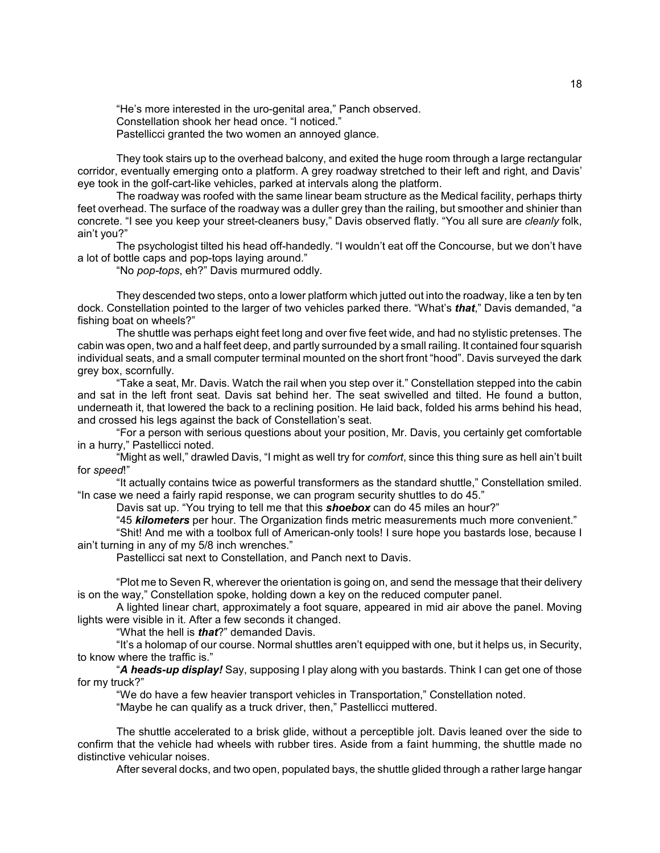"He's more interested in the uro-genital area," Panch observed. Constellation shook her head once. "I noticed." Pastellicci granted the two women an annoyed glance.

They took stairs up to the overhead balcony, and exited the huge room through a large rectangular corridor, eventually emerging onto a platform. A grey roadway stretched to their left and right, and Davis' eye took in the golf-cart-like vehicles, parked at intervals along the platform.

The roadway was roofed with the same linear beam structure as the Medical facility, perhaps thirty feet overhead. The surface of the roadway was a duller grey than the railing, but smoother and shinier than concrete. "I see you keep your street-cleaners busy," Davis observed flatly. "You all sure are *cleanly* folk, ain't vou?"

The psychologist tilted his head off-handedly. "I wouldn't eat off the Concourse, but we don't have a lot of bottle caps and pop-tops laying around."

ìNo *pop-tops*, eh?î Davis murmured oddly.

They descended two steps, onto a lower platform which jutted out into the roadway, like a ten by ten dock. Constellation pointed to the larger of two vehicles parked there. "What's *that*," Davis demanded, "a fishing boat on wheels?"

The shuttle was perhaps eight feet long and over five feet wide, and had no stylistic pretenses. The cabin was open, two and a half feet deep, and partly surrounded by a small railing. It contained four squarish individual seats, and a small computer terminal mounted on the short front "hood". Davis surveyed the dark grey box, scornfully.

"Take a seat, Mr. Davis. Watch the rail when you step over it." Constellation stepped into the cabin and sat in the left front seat. Davis sat behind her. The seat swivelled and tilted. He found a button, underneath it, that lowered the back to a reclining position. He laid back, folded his arms behind his head, and crossed his legs against the back of Constellation's seat.

ìFor a person with serious questions about your position, Mr. Davis, you certainly get comfortable in a hurry," Pastellicci noted.

"Might as well," drawled Davis, "I might as well try for *comfort*, since this thing sure as hell ain't built for *speed*!"

"It actually contains twice as powerful transformers as the standard shuttle," Constellation smiled. "In case we need a fairly rapid response, we can program security shuttles to do 45."

Davis sat up. "You trying to tell me that this **shoebox** can do 45 miles an hour?"

<sup>45</sup> kilometers per hour. The Organization finds metric measurements much more convenient."

ìShit! And me with a toolbox full of American-only tools! I sure hope you bastards lose, because I ain't turning in any of my 5/8 inch wrenches."

Pastellicci sat next to Constellation, and Panch next to Davis.

ìPlot me to Seven R, wherever the orientation is going on, and send the message that their delivery is on the way," Constellation spoke, holding down a key on the reduced computer panel.

A lighted linear chart, approximately a foot square, appeared in mid air above the panel. Moving lights were visible in it. After a few seconds it changed.

ìWhat the hell is *that*?î demanded Davis.

"It's a holomap of our course. Normal shuttles aren't equipped with one, but it helps us, in Security, to know where the traffic is."

*A heads-up display!* Say, supposing I play along with you bastards. Think I can get one of those for my truck?"

ìWe do have a few heavier transport vehicles in Transportation,î Constellation noted.

"Maybe he can qualify as a truck driver, then," Pastellicci muttered.

The shuttle accelerated to a brisk glide, without a perceptible jolt. Davis leaned over the side to confirm that the vehicle had wheels with rubber tires. Aside from a faint humming, the shuttle made no distinctive vehicular noises.

After several docks, and two open, populated bays, the shuttle glided through a rather large hangar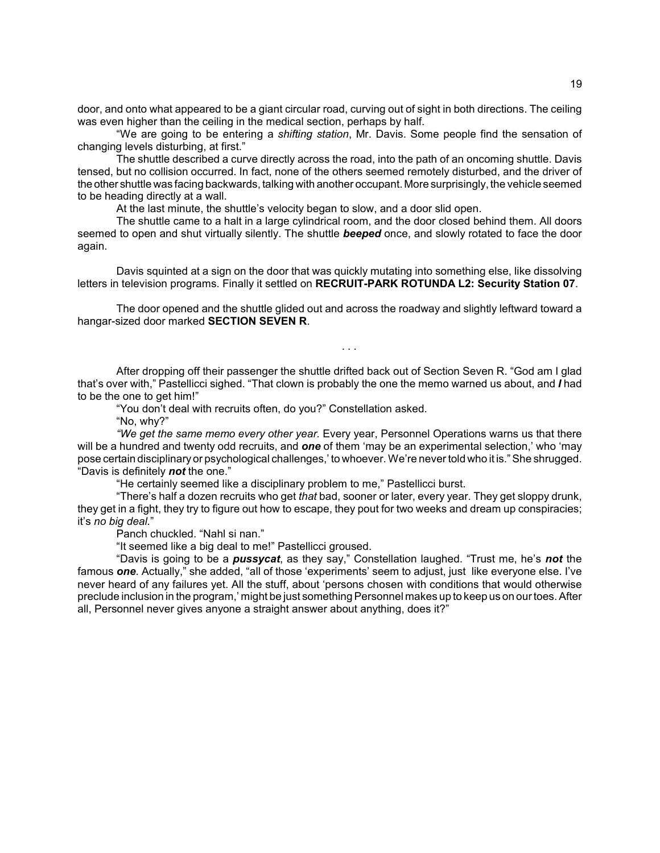door, and onto what appeared to be a giant circular road, curving out of sight in both directions. The ceiling was even higher than the ceiling in the medical section, perhaps by half.

ìWe are going to be entering a *shifting station*, Mr. Davis. Some people find the sensation of changing levels disturbing, at first."

The shuttle described a curve directly across the road, into the path of an oncoming shuttle. Davis tensed, but no collision occurred. In fact, none of the others seemed remotely disturbed, and the driver of the other shuttle was facing backwards, talking with another occupant. More surprisingly, the vehicle seemed to be heading directly at a wall.

At the last minute, the shuttle's velocity began to slow, and a door slid open.

The shuttle came to a halt in a large cylindrical room, and the door closed behind them. All doors seemed to open and shut virtually silently. The shuttle *beeped* once, and slowly rotated to face the door again.

Davis squinted at a sign on the door that was quickly mutating into something else, like dissolving letters in television programs. Finally it settled on **RECRUIT-PARK ROTUNDA L2: Security Station 07**.

The door opened and the shuttle glided out and across the roadway and slightly leftward toward a hangar-sized door marked **SECTION SEVEN R**.

. . .

After dropping off their passenger the shuttle drifted back out of Section Seven R. "God am I glad that's over with," Pastellicci sighed. "That clown is probably the one the memo warned us about, and *I* had to be the one to get him!"

"You don't deal with recruits often, do you?" Constellation asked.

"No, why?"

*ìWe get the same memo every other year.* Every year, Personnel Operations warns us that there will be a hundred and twenty odd recruits, and **one** of them 'may be an experimental selection,' who 'may pose certain disciplinary or psychological challenges, ' to whoever. We're never told who it is." She shrugged. "Davis is definitely **not** the one."

"He certainly seemed like a disciplinary problem to me," Pastellicci burst.

ìThereís half a dozen recruits who get *that* bad, sooner or later, every year. They get sloppy drunk, they get in a fight, they try to figure out how to escape, they pout for two weeks and dream up conspiracies; it's no big deal."

Panch chuckled. "Nahl si nan."

"It seemed like a big deal to me!" Pastellicci groused.

ìDavis is going to be a *pussycat*, as they say,î Constellation laughed. ìTrust me, heís *not* the famous **one**. Actually," she added, "all of those 'experiments' seem to adjust, just like everyone else. I've never heard of any failures yet. All the stuff, about 'persons chosen with conditions that would otherwise preclude inclusion in the program,' might be just something Personnel makes up to keep us on our toes. After all, Personnel never gives anyone a straight answer about anything, does it?"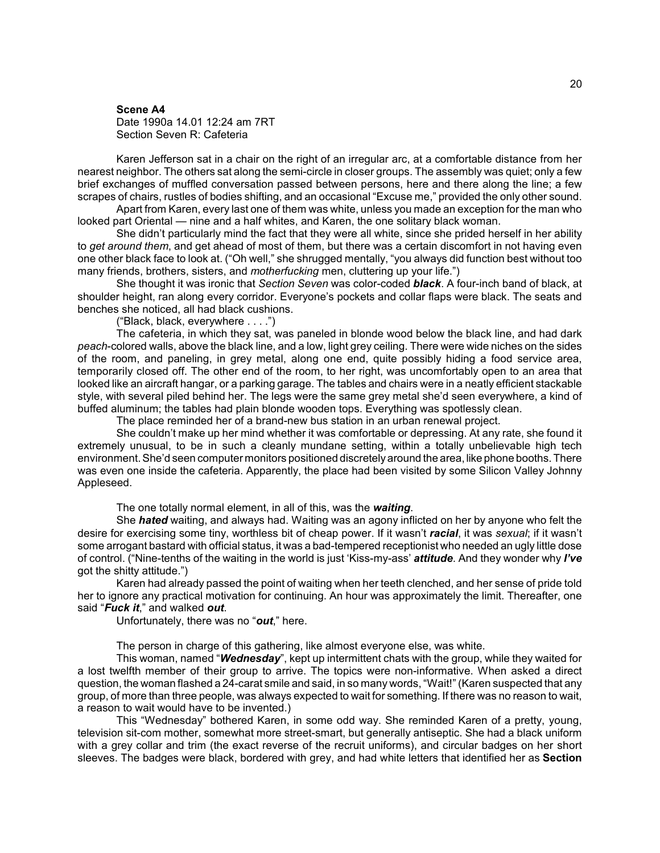#### **Scene A4**

Date 1990a 14.01 12:24 am 7RT Section Seven R: Cafeteria

Karen Jefferson sat in a chair on the right of an irregular arc, at a comfortable distance from her nearest neighbor. The others sat along the semi-circle in closer groups. The assembly was quiet; only a few brief exchanges of muffled conversation passed between persons, here and there along the line; a few scrapes of chairs, rustles of bodies shifting, and an occasional "Excuse me," provided the only other sound.

Apart from Karen, every last one of them was white, unless you made an exception for the man who looked part Oriental — nine and a half whites, and Karen, the one solitary black woman.

She didnít particularly mind the fact that they were all white, since she prided herself in her ability to *get around them*, and get ahead of most of them, but there was a certain discomfort in not having even one other black face to look at. ("Oh well," she shrugged mentally, "you always did function best without too many friends, brothers, sisters, and *motherfucking* men, cluttering up your life.")

She thought it was ironic that *Section Seven* was color-coded *black*. A four-inch band of black, at shoulder height, ran along every corridor. Everyone's pockets and collar flaps were black. The seats and benches she noticed, all had black cushions.

("Black, black, everywhere  $\dots$ .")

The cafeteria, in which they sat, was paneled in blonde wood below the black line, and had dark *peach*-colored walls, above the black line, and a low, light grey ceiling. There were wide niches on the sides of the room, and paneling, in grey metal, along one end, quite possibly hiding a food service area, temporarily closed off. The other end of the room, to her right, was uncomfortably open to an area that looked like an aircraft hangar, or a parking garage. The tables and chairs were in a neatly efficient stackable style, with several piled behind her. The legs were the same grey metal she'd seen everywhere, a kind of buffed aluminum; the tables had plain blonde wooden tops. Everything was spotlessly clean.

The place reminded her of a brand-new bus station in an urban renewal project.

She couldn't make up her mind whether it was comfortable or depressing. At any rate, she found it extremely unusual, to be in such a cleanly mundane setting, within a totally unbelievable high tech environment. Sheíd seen computer monitors positioned discretely around the area, like phone booths. There was even one inside the cafeteria. Apparently, the place had been visited by some Silicon Valley Johnny Appleseed.

The one totally normal element, in all of this, was the *waiting*.

She *hated* waiting, and always had. Waiting was an agony inflicted on her by anyone who felt the desire for exercising some tiny, worthless bit of cheap power. If it wasn't *racial*, it was *sexual*; if it wasn't some arrogant bastard with official status, it was a bad-tempered receptionist who needed an ugly little dose of control. ("Nine-tenths of the waiting in the world is just 'Kiss-my-ass' *attitude*. And they wonder why *I've* got the shitty attitude.")

Karen had already passed the point of waiting when her teeth clenched, and her sense of pride told her to ignore any practical motivation for continuing. An hour was approximately the limit. Thereafter, one said "**Fuck it**," and walked out.

Unfortunately, there was no "out," here.

The person in charge of this gathering, like almost everyone else, was white.

This woman, named "**Wednesday**", kept up intermittent chats with the group, while they waited for a lost twelfth member of their group to arrive. The topics were non-informative. When asked a direct question, the woman flashed a 24-carat smile and said, in so many words, "Wait!" (Karen suspected that any group, of more than three people, was always expected to wait for something. If there was no reason to wait, a reason to wait would have to be invented.)

This "Wednesday" bothered Karen, in some odd way. She reminded Karen of a pretty, young, television sit-com mother, somewhat more street-smart, but generally antiseptic. She had a black uniform with a grey collar and trim (the exact reverse of the recruit uniforms), and circular badges on her short sleeves. The badges were black, bordered with grey, and had white letters that identified her as **Section**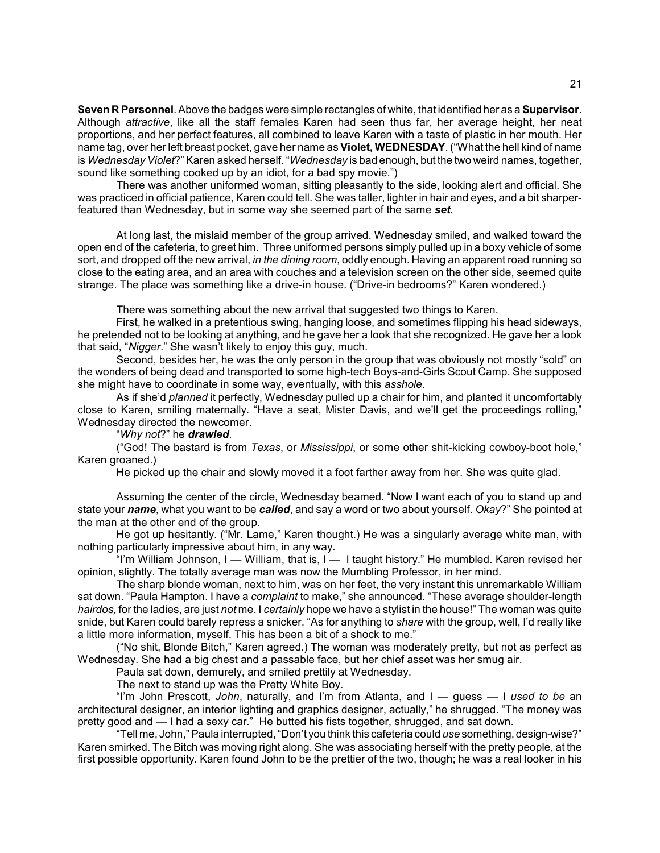**Seven R Personnel**. Above the badges were simple rectangles of white, that identified her as a **Supervisor**. Although *attractive*, like all the staff females Karen had seen thus far, her average height, her neat proportions, and her perfect features, all combined to leave Karen with a taste of plastic in her mouth. Her name tag, over her left breast pocket, gave her name as **Violet, WEDNESDAY**. ("What the hell kind of name is Wednesday Violet?" Karen asked herself. "Wednesday is bad enough, but the two weird names, together, sound like something cooked up by an idiot, for a bad spy movie.")

There was another uniformed woman, sitting pleasantly to the side, looking alert and official. She was practiced in official patience, Karen could tell. She was taller, lighter in hair and eyes, and a bit sharperfeatured than Wednesday, but in some way she seemed part of the same *set*.

At long last, the mislaid member of the group arrived. Wednesday smiled, and walked toward the open end of the cafeteria, to greet him. Three uniformed persons simply pulled up in a boxy vehicle of some sort, and dropped off the new arrival, *in the dining room*, oddly enough. Having an apparent road running so close to the eating area, and an area with couches and a television screen on the other side, seemed quite strange. The place was something like a drive-in house. ("Drive-in bedrooms?" Karen wondered.)

There was something about the new arrival that suggested two things to Karen.

First, he walked in a pretentious swing, hanging loose, and sometimes flipping his head sideways, he pretended not to be looking at anything, and he gave her a look that she recognized. He gave her a look that said, *"Nigger*." She wasn't likely to enjoy this guy, much.

Second, besides her, he was the only person in the group that was obviously not mostly "sold" on the wonders of being dead and transported to some high-tech Boys-and-Girls Scout Camp. She supposed she might have to coordinate in some way, eventually, with this *asshole*.

As if she'd *planned* it perfectly, Wednesday pulled up a chair for him, and planted it uncomfortably close to Karen, smiling maternally. "Have a seat, Mister Davis, and we'll get the proceedings rolling." Wednesday directed the newcomer.

#### ì*Why not*?î he *drawled*.

<sup>"</sup>God! The bastard is from *Texas*, or *Mississippi*, or some other shit-kicking cowboy-boot hole," Karen groaned.)

He picked up the chair and slowly moved it a foot farther away from her. She was quite glad.

Assuming the center of the circle, Wednesday beamed. "Now I want each of you to stand up and state your *name*, what you want to be *called*, and say a word or two about yourself. *Okay*?î She pointed at the man at the other end of the group.

He got up hesitantly. ("Mr. Lame," Karen thought.) He was a singularly average white man, with nothing particularly impressive about him, in any way.

"I'm William Johnson, I – William, that is, I – I taught history." He mumbled. Karen revised her opinion, slightly. The totally average man was now the Mumbling Professor, in her mind.

The sharp blonde woman, next to him, was on her feet, the very instant this unremarkable William sat down. "Paula Hampton. I have a *complaint* to make," she announced. "These average shoulder-length *hairdos,* for the ladies, are just *not* me. I *certainly* hope we have a stylist in the house!î The woman was quite snide, but Karen could barely repress a snicker. "As for anything to *share* with the group, well, I'd really like a little more information, myself. This has been a bit of a shock to me."

("No shit, Blonde Bitch," Karen agreed.) The woman was moderately pretty, but not as perfect as Wednesday. She had a big chest and a passable face, but her chief asset was her smug air.

Paula sat down, demurely, and smiled prettily at Wednesday.

The next to stand up was the Pretty White Boy.

"I'm John Prescott, *John*, naturally, and I'm from Atlanta, and I – guess – I used to be an architectural designer, an interior lighting and graphics designer, actually," he shrugged. "The money was pretty good and  $-$  I had a sexy car." He butted his fists together, shrugged, and sat down.

"Tell me, John," Paula interrupted, "Don't you think this cafeteria could use something, design-wise?" Karen smirked. The Bitch was moving right along. She was associating herself with the pretty people, at the first possible opportunity. Karen found John to be the prettier of the two, though; he was a real looker in his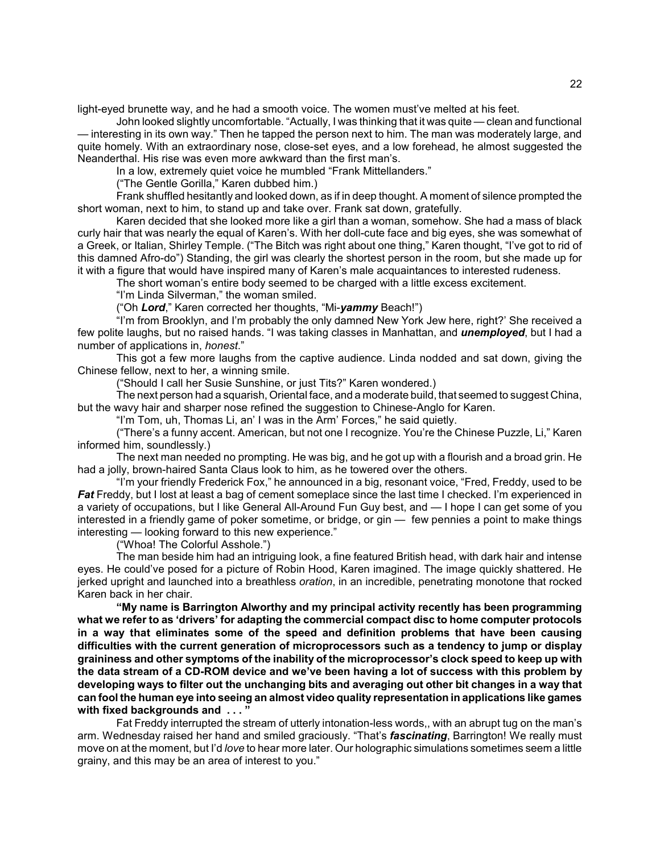light-eyed brunette way, and he had a smooth voice. The women must've melted at his feet.

John looked slightly uncomfortable. "Actually, I was thinking that it was quite — clean and functional – interesting in its own way." Then he tapped the person next to him. The man was moderately large, and quite homely. With an extraordinary nose, close-set eyes, and a low forehead, he almost suggested the Neanderthal. His rise was even more awkward than the first man's.

In a low, extremely quiet voice he mumbled "Frank Mittellanders."

("The Gentle Gorilla," Karen dubbed him.)

Frank shuffled hesitantly and looked down, as if in deep thought. A moment of silence prompted the short woman, next to him, to stand up and take over. Frank sat down, gratefully.

Karen decided that she looked more like a girl than a woman, somehow. She had a mass of black curly hair that was nearly the equal of Karenís. With her doll-cute face and big eyes, she was somewhat of a Greek, or Italian, Shirley Temple. ("The Bitch was right about one thing," Karen thought, "I've got to rid of this damned Afro-doî) Standing, the girl was clearly the shortest person in the room, but she made up for it with a figure that would have inspired many of Karen's male acquaintances to interested rudeness.

The short womanís entire body seemed to be charged with a little excess excitement.

"I'm Linda Silverman," the woman smiled.

("Oh Lord," Karen corrected her thoughts, "Mi-yammy Beach!")

"I'm from Brooklyn, and I'm probably the only damned New York Jew here, right?' She received a few polite laughs, but no raised hands. "I was taking classes in Manhattan, and **unemployed**, but I had a number of applications in, *honest.*"

This got a few more laughs from the captive audience. Linda nodded and sat down, giving the Chinese fellow, next to her, a winning smile.

("Should I call her Susie Sunshine, or just Tits?" Karen wondered.)

The next person had a squarish, Oriental face, and a moderate build, that seemed to suggest China, but the wavy hair and sharper nose refined the suggestion to Chinese-Anglo for Karen.

"I'm Tom, uh, Thomas Li, an' I was in the Arm' Forces," he said quietly.

("There's a funny accent. American, but not one I recognize. You're the Chinese Puzzle, Li," Karen informed him, soundlessly.)

The next man needed no prompting. He was big, and he got up with a flourish and a broad grin. He had a jolly, brown-haired Santa Claus look to him, as he towered over the others.

"I'm your friendly Frederick Fox," he announced in a big, resonant voice, "Fred, Freddy, used to be *Fat* Freddy, but I lost at least a bag of cement someplace since the last time I checked. I'm experienced in a variety of occupations, but I like General All-Around Fun Guy best, and  $-1$  hope I can get some of you interested in a friendly game of poker sometime, or bridge, or gin  $-$  few pennies a point to make things  $interesting$   $-$  looking forward to this new experience."

("Whoa! The Colorful Asshole.")

The man beside him had an intriguing look, a fine featured British head, with dark hair and intense eyes. He could've posed for a picture of Robin Hood, Karen imagined. The image quickly shattered. He jerked upright and launched into a breathless *oration*, in an incredible, penetrating monotone that rocked Karen back in her chair.

**ìMy name is Barrington Alworthy and my principal activity recently has been programming what we refer to as ëdriversí for adapting the commercial compact disc to home computer protocols in a way that eliminates some of the speed and definition problems that have been causing difficulties with the current generation of microprocessors such as a tendency to jump or display graininess and other symptoms of the inability of the microprocessorís clock speed to keep up with the data stream of a CD-ROM device and weíve been having a lot of success with this problem by developing ways to filter out the unchanging bits and averaging out other bit changes in a way that can fool the human eye into seeing an almost video quality representation in applications like games** with fixed backgrounds and ..."

Fat Freddy interrupted the stream of utterly intonation-less words,, with an abrupt tug on the man's arm. Wednesday raised her hand and smiled graciously. "That's **fascinating**, Barrington! We really must move on at the moment, but Iíd *love* to hear more later. Our holographic simulations sometimes seem a little grainy, and this may be an area of interest to you."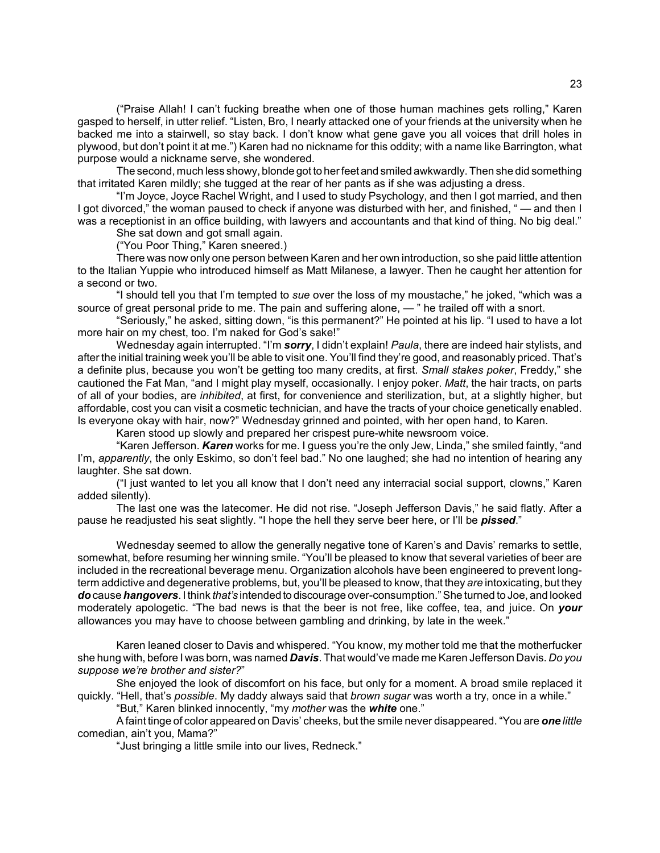("Praise Allah! I can't fucking breathe when one of those human machines gets rolling," Karen gasped to herself, in utter relief. "Listen, Bro, I nearly attacked one of your friends at the university when he backed me into a stairwell, so stay back. I donít know what gene gave you all voices that drill holes in plywood, but don't point it at me.") Karen had no nickname for this oddity; with a name like Barrington, what purpose would a nickname serve, she wondered.

The second, much less showy, blonde got to her feet and smiled awkwardly. Then she did something that irritated Karen mildly; she tugged at the rear of her pants as if she was adjusting a dress.

"I'm Joyce, Joyce Rachel Wright, and I used to study Psychology, and then I got married, and then I got divorced," the woman paused to check if anyone was disturbed with her, and finished, " $-$  and then I was a receptionist in an office building, with lawyers and accountants and that kind of thing. No big deal."

She sat down and got small again.

("You Poor Thing," Karen sneered.)

There was now only one person between Karen and her own introduction, so she paid little attention to the Italian Yuppie who introduced himself as Matt Milanese, a lawyer. Then he caught her attention for a second or two.

"I should tell you that I'm tempted to *sue* over the loss of my moustache," he joked, "which was a source of great personal pride to me. The pain and suffering alone,  $-$  " he trailed off with a snort.

"Seriously," he asked, sitting down, "is this permanent?" He pointed at his lip. "I used to have a lot more hair on my chest, too. I'm naked for God's sake!"

Wednesday again interrupted. "I'm **sorry**, I didn't explain! *Paula*, there are indeed hair stylists, and after the initial training week you'll be able to visit one. You'll find they're good, and reasonably priced. That's a definite plus, because you wonít be getting too many credits, at first. *Small stakes poker*, Freddy,î she cautioned the Fat Man, "and I might play myself, occasionally. I enjoy poker. *Matt*, the hair tracts, on parts of all of your bodies, are *inhibited*, at first, for convenience and sterilization, but, at a slightly higher, but affordable, cost you can visit a cosmetic technician, and have the tracts of your choice genetically enabled. Is everyone okay with hair, now?" Wednesday grinned and pointed, with her open hand, to Karen.

Karen stood up slowly and prepared her crispest pure-white newsroom voice.

"Karen Jefferson. *Karen* works for me. I guess you're the only Jew, Linda," she smiled faintly, "and I'm, *apparently*, the only Eskimo, so don't feel bad." No one laughed; she had no intention of hearing any laughter. She sat down.

("I just wanted to let you all know that I don't need any interracial social support, clowns," Karen added silently).

The last one was the latecomer. He did not rise. "Joseph Jefferson Davis," he said flatly. After a pause he readjusted his seat slightly. "I hope the hell they serve beer here, or I'll be *pissed*."

Wednesday seemed to allow the generally negative tone of Karen's and Davis' remarks to settle, somewhat, before resuming her winning smile. "You'll be pleased to know that several varieties of beer are included in the recreational beverage menu. Organization alcohols have been engineered to prevent longterm addictive and degenerative problems, but, youíll be pleased to know, that they *are* intoxicating, but they *do* cause *hangovers*. I think *thatís* intended to discourage over-consumption.î She turned to Joe, and looked moderately apologetic. "The bad news is that the beer is not free, like coffee, tea, and juice. On **your** allowances you may have to choose between gambling and drinking, by late in the week."

Karen leaned closer to Davis and whispered. "You know, my mother told me that the motherfucker she hung with, before I was born, was named *Davis*. That wouldíve made me Karen Jefferson Davis. *Do you suppose weíre brother and sister?*î

She enjoyed the look of discomfort on his face, but only for a moment. A broad smile replaced it quickly. "Hell, that's *possible*. My daddy always said that *brown sugar* was worth a try, once in a while."

"But," Karen blinked innocently, "my *mother* was the *white* one."

A faint tinge of color appeared on Davis' cheeks, but the smile never disappeared. "You are *one little* comedian, ain't you, Mama?"

"Just bringing a little smile into our lives, Redneck."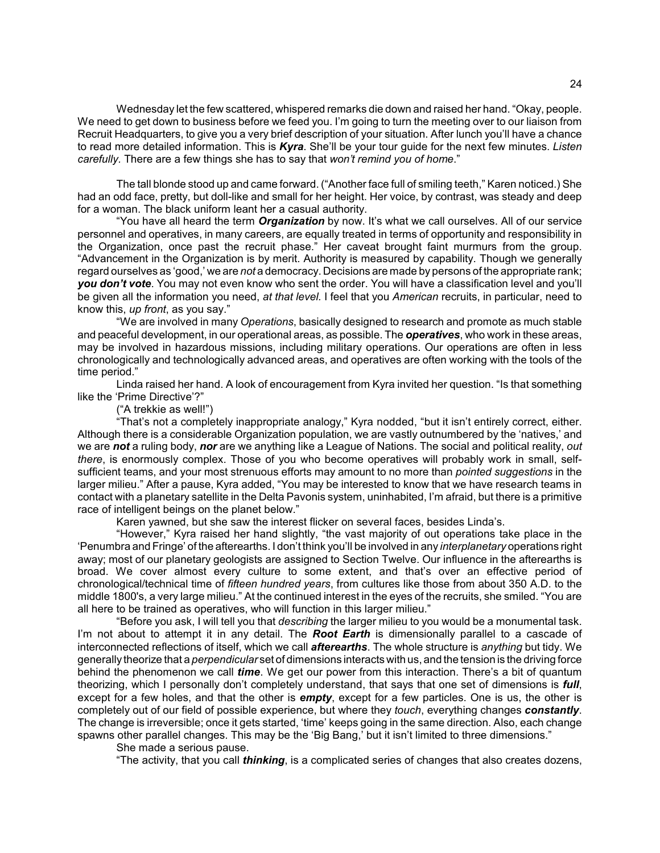Wednesday let the few scattered, whispered remarks die down and raised her hand. "Okay, people. We need to get down to business before we feed you. I'm going to turn the meeting over to our liaison from Recruit Headquarters, to give you a very brief description of your situation. After lunch you'll have a chance to read more detailed information. This is *Kyra*. Sheíll be your tour guide for the next few minutes. *Listen carefully*. There are a few things she has to say that *won't remind you of home*."

The tall blonde stood up and came forward. ("Another face full of smiling teeth," Karen noticed.) She had an odd face, pretty, but doll-like and small for her height. Her voice, by contrast, was steady and deep for a woman. The black uniform leant her a casual authority.

ìYou have all heard the term *Organization* by now. Itís what we call ourselves. All of our service personnel and operatives, in many careers, are equally treated in terms of opportunity and responsibility in the Organization, once past the recruit phase." Her caveat brought faint murmurs from the group. ìAdvancement in the Organization is by merit. Authority is measured by capability. Though we generally regard ourselves as 'good,' we are *not* a democracy. Decisions are made by persons of the appropriate rank; *you donít vote*. You may not even know who sent the order. You will have a classification level and youíll be given all the information you need, *at that level.* I feel that you *American* recruits, in particular, need to know this, *up front*, as you say."

ìWe are involved in many *Operations*, basically designed to research and promote as much stable and peaceful development, in our operational areas, as possible. The *operatives*, who work in these areas, may be involved in hazardous missions, including military operations. Our operations are often in less chronologically and technologically advanced areas, and operatives are often working with the tools of the time period."

Linda raised her hand. A look of encouragement from Kyra invited her question. "Is that something like the 'Prime Directive'?"

("A trekkie as well!")

"That's not a completely inappropriate analogy," Kyra nodded, "but it isn't entirely correct, either. Although there is a considerable Organization population, we are vastly outnumbered by the 'natives,' and we are *not* a ruling body, *nor* are we anything like a League of Nations. The social and political reality, *out there*, is enormously complex. Those of you who become operatives will probably work in small, selfsufficient teams, and your most strenuous efforts may amount to no more than *pointed suggestions* in the larger milieu." After a pause, Kyra added, "You may be interested to know that we have research teams in contact with a planetary satellite in the Delta Pavonis system, uninhabited, Iím afraid, but there is a primitive race of intelligent beings on the planet below."

Karen yawned, but she saw the interest flicker on several faces, besides Linda's.

"However," Kyra raised her hand slightly, "the vast majority of out operations take place in the ëPenumbra and Fringeí of the afterearths. I donít think youíll be involved in any *interplanetary* operations right away; most of our planetary geologists are assigned to Section Twelve. Our influence in the afterearths is broad. We cover almost every culture to some extent, and that's over an effective period of chronological/technical time of *fifteen hundred years*, from cultures like those from about 350 A.D. to the middle 1800's, a very large milieu." At the continued interest in the eyes of the recruits, she smiled. "You are all here to be trained as operatives, who will function in this larger milieu."

ìBefore you ask, I will tell you that *describing* the larger milieu to you would be a monumental task. Iím not about to attempt it in any detail. The *Root Earth* is dimensionally parallel to a cascade of interconnected reflections of itself, which we call *afterearths*. The whole structure is *anything* but tidy. We generally theorize that a *perpendicular* set of dimensions interacts with us, and the tension is the driving force behind the phenomenon we call *time*. We get our power from this interaction. There's a bit of quantum theorizing, which I personally donít completely understand, that says that one set of dimensions is *full*, except for a few holes, and that the other is *empty*, except for a few particles. One is us, the other is completely out of our field of possible experience, but where they *touch*, everything changes *constantly*. The change is irreversible; once it gets started, 'time' keeps going in the same direction. Also, each change spawns other parallel changes. This may be the 'Big Bang,' but it isn't limited to three dimensions."

She made a serious pause.

"The activity, that you call *thinking*, is a complicated series of changes that also creates dozens,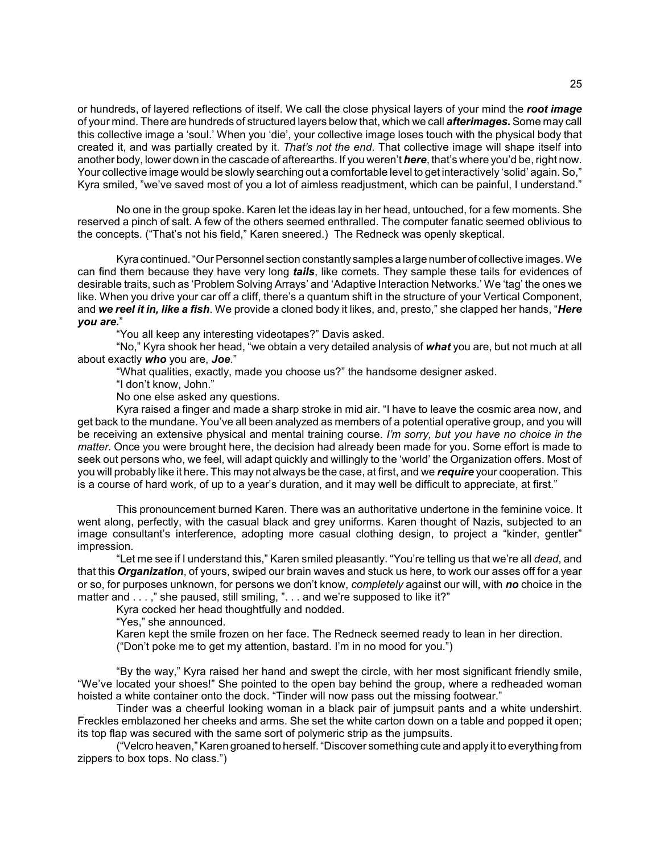or hundreds, of layered reflections of itself. We call the close physical layers of your mind the *root image* of your mind. There are hundreds of structured layers below that, which we call *afterimages.* Some may call this collective image a 'soul.' When you 'die', your collective image loses touch with the physical body that created it, and was partially created by it. *Thatís not the end*. That collective image will shape itself into another body, lower down in the cascade of afterearths. If you weren't *here*, that's where you'd be, right now. Your collective image would be slowly searching out a comfortable level to get interactively 'solid' again. So," Kyra smiled, "we've saved most of you a lot of aimless readjustment, which can be painful, I understand."

No one in the group spoke. Karen let the ideas lay in her head, untouched, for a few moments. She reserved a pinch of salt. A few of the others seemed enthralled. The computer fanatic seemed oblivious to the concepts. ("That's not his field," Karen sneered.) The Redneck was openly skeptical.

Kyra continued. "Our Personnel section constantly samples a large number of collective images. We can find them because they have very long *tails*, like comets. They sample these tails for evidences of desirable traits, such as 'Problem Solving Arrays' and 'Adaptive Interaction Networks.' We 'tag' the ones we like. When you drive your car off a cliff, there's a quantum shift in the structure of your Vertical Component, and *we reel it in, like a fish*. We provide a cloned body it likes, and, presto," she clapped her hands, "*Here you are.*î

"You all keep any interesting videotapes?" Davis asked.

"No," Kyra shook her head, "we obtain a very detailed analysis of what you are, but not much at all about exactly *who* you are, *Joe*.î

ìWhat qualities, exactly, made you choose us?î the handsome designer asked.

"I don't know, John."

No one else asked any questions.

Kyra raised a finger and made a sharp stroke in mid air. "I have to leave the cosmic area now, and get back to the mundane. Youíve all been analyzed as members of a potential operative group, and you will be receiving an extensive physical and mental training course. *Iím sorry, but you have no choice in the matter.* Once you were brought here, the decision had already been made for you. Some effort is made to seek out persons who, we feel, will adapt quickly and willingly to the 'world' the Organization offers. Most of you will probably like it here. This may not always be the case, at first, and we *require* your cooperation. This is a course of hard work, of up to a year's duration, and it may well be difficult to appreciate, at first."

This pronouncement burned Karen. There was an authoritative undertone in the feminine voice. It went along, perfectly, with the casual black and grey uniforms. Karen thought of Nazis, subjected to an image consultant's interference, adopting more casual clothing design, to project a "kinder, gentler" impression.

"Let me see if I understand this," Karen smiled pleasantly. "You're telling us that we're all *dead*, and that this *Organization*, of yours, swiped our brain waves and stuck us here, to work our asses off for a year or so, for purposes unknown, for persons we donít know, *completely* against our will, with *no* choice in the matter and . . . ," she paused, still smiling, ". . . and we're supposed to like it?"

Kyra cocked her head thoughtfully and nodded.

"Yes," she announced.

Karen kept the smile frozen on her face. The Redneck seemed ready to lean in her direction. ("Don't poke me to get my attention, bastard. I'm in no mood for you.")

"By the way," Kyra raised her hand and swept the circle, with her most significant friendly smile, ìWeíve located your shoes!î She pointed to the open bay behind the group, where a redheaded woman hoisted a white container onto the dock. "Tinder will now pass out the missing footwear."

Tinder was a cheerful looking woman in a black pair of jumpsuit pants and a white undershirt. Freckles emblazoned her cheeks and arms. She set the white carton down on a table and popped it open; its top flap was secured with the same sort of polymeric strip as the jumpsuits.

("Velcro heaven," Karen groaned to herself. "Discover something cute and apply it to everything from zippers to box tops. No class.")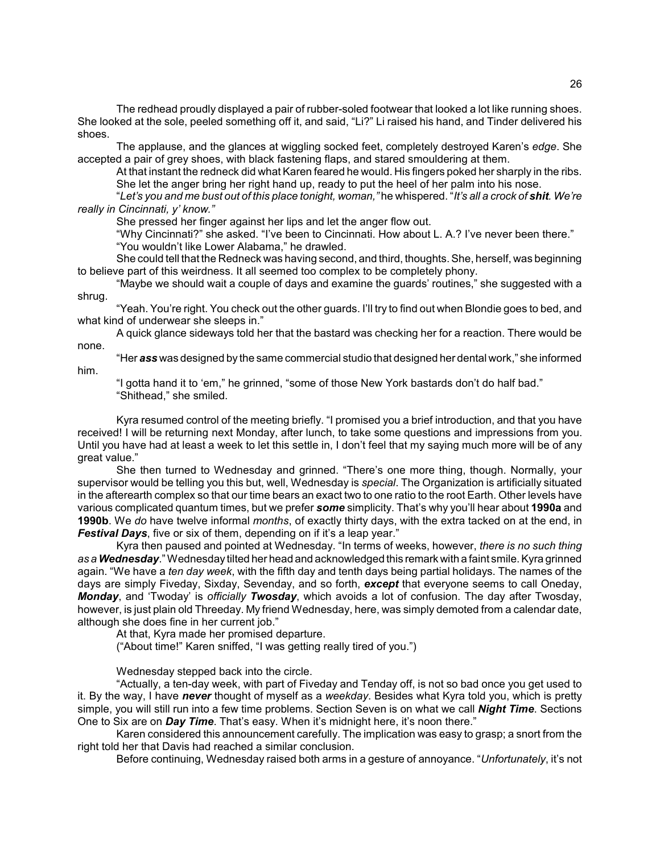The redhead proudly displayed a pair of rubber-soled footwear that looked a lot like running shoes. She looked at the sole, peeled something off it, and said, "Li?" Li raised his hand, and Tinder delivered his shoes.

The applause, and the glances at wiggling socked feet, completely destroyed Karenís *edge*. She accepted a pair of grey shoes, with black fastening flaps, and stared smouldering at them.

At that instant the redneck did what Karen feared he would. His fingers poked her sharply in the ribs. She let the anger bring her right hand up, ready to put the heel of her palm into his nose.

ì*Letís you and me bust out of this place tonight, woman,î* he whispered. ì*Itís all a crock of shit. Weíre really in Cincinnati, yí know.î*

She pressed her finger against her lips and let the anger flow out.

"Why Cincinnati?" she asked. "I've been to Cincinnati. How about L. A.? I've never been there." "You wouldn't like Lower Alabama," he drawled.

She could tell that the Redneck was having second, and third, thoughts. She, herself, was beginning to believe part of this weirdness. It all seemed too complex to be completely phony.

"Maybe we should wait a couple of days and examine the guards' routines," she suggested with a shrug.

"Yeah. You're right. You check out the other guards. I'll try to find out when Blondie goes to bed, and what kind of underwear she sleeps in."

A quick glance sideways told her that the bastard was checking her for a reaction. There would be none.

ìHer *ass* was designed by the same commercial studio that designed her dental work,î she informed him.

"I gotta hand it to 'em," he grinned, "some of those New York bastards don't do half bad." "Shithead," she smiled.

Kyra resumed control of the meeting briefly. "I promised you a brief introduction, and that you have received! I will be returning next Monday, after lunch, to take some questions and impressions from you. Until you have had at least a week to let this settle in, I don't feel that my saying much more will be of any great value."

She then turned to Wednesday and grinned. "There's one more thing, though. Normally, your supervisor would be telling you this but, well, Wednesday is *special*. The Organization is artificially situated in the afterearth complex so that our time bears an exact two to one ratio to the root Earth. Other levels have various complicated quantum times, but we prefer *some* simplicity. Thatís why youíll hear about **1990a** and **1990b**. We *do* have twelve informal *months*, of exactly thirty days, with the extra tacked on at the end, in Festival Days, five or six of them, depending on if it's a leap year."

Kyra then paused and pointed at Wednesday. "In terms of weeks, however, *there is no such thing as a Wednesday*.î Wednesday tilted her head and acknowledged this remark with a faint smile. Kyra grinned again. "We have a *ten day week*, with the fifth day and tenth days being partial holidays. The names of the days are simply Fiveday, Sixday, Sevenday, and so forth, *except* that everyone seems to call Oneday, *Monday*, and 'Twoday' is *officially Twosday, which avoids a lot of confusion. The day after Twosday,* however, is just plain old Threeday. My friend Wednesday, here, was simply demoted from a calendar date, although she does fine in her current job."

At that, Kyra made her promised departure.

("About time!" Karen sniffed, "I was getting really tired of you.")

Wednesday stepped back into the circle.

"Actually, a ten-day week, with part of Fiveday and Tenday off, is not so bad once you get used to it. By the way, I have *never* thought of myself as a *weekday*. Besides what Kyra told you, which is pretty simple, you will still run into a few time problems. Section Seven is on what we call *Night Time*. Sections One to Six are on *Day Time*. That's easy. When it's midnight here, it's noon there.<sup>"</sup>

Karen considered this announcement carefully. The implication was easy to grasp; a snort from the right told her that Davis had reached a similar conclusion.

Before continuing, Wednesday raised both arms in a gesture of annoyance. "Unfortunately, it's not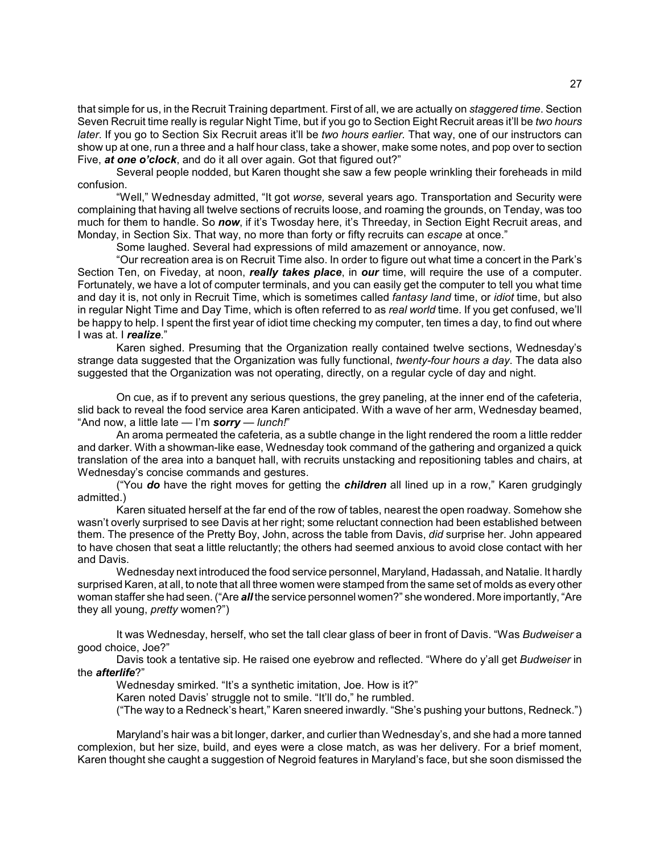that simple for us, in the Recruit Training department. First of all, we are actually on *staggered time*. Section Seven Recruit time really is regular Night Time, but if you go to Section Eight Recruit areas itíll be *two hours later*. If you go to Section Six Recruit areas itíll be *two hours earlier.* That way, one of our instructors can show up at one, run a three and a half hour class, take a shower, make some notes, and pop over to section Five, at one o'clock, and do it all over again. Got that figured out?"

Several people nodded, but Karen thought she saw a few people wrinkling their foreheads in mild confusion.

"Well," Wednesday admitted, "It got *worse*, several years ago. Transportation and Security were complaining that having all twelve sections of recruits loose, and roaming the grounds, on Tenday, was too much for them to handle. So *now*, if it's Twosday here, it's Threeday, in Section Eight Recruit areas, and Monday, in Section Six. That way, no more than forty or fifty recruits can *escape* at once.<sup>"</sup>

Some laughed. Several had expressions of mild amazement or annoyance, now.

"Our recreation area is on Recruit Time also. In order to figure out what time a concert in the Park's Section Ten, on Fiveday, at noon, *really takes place*, in *our* time, will require the use of a computer. Fortunately, we have a lot of computer terminals, and you can easily get the computer to tell you what time and day it is, not only in Recruit Time, which is sometimes called *fantasy land* time, or *idiot* time, but also in regular Night Time and Day Time, which is often referred to as *real world* time. If you get confused, weíll be happy to help. I spent the first year of idiot time checking my computer, ten times a day, to find out where I was at. I *realize*."

Karen sighed. Presuming that the Organization really contained twelve sections, Wednesdayís strange data suggested that the Organization was fully functional, *twenty-four hours a day*. The data also suggested that the Organization was not operating, directly, on a regular cycle of day and night.

On cue, as if to prevent any serious questions, the grey paneling, at the inner end of the cafeteria, slid back to reveal the food service area Karen anticipated. With a wave of her arm, Wednesday beamed, "And now, a little late – I'm **sorry** – lunch!"

An aroma permeated the cafeteria, as a subtle change in the light rendered the room a little redder and darker. With a showman-like ease, Wednesday took command of the gathering and organized a quick translation of the area into a banquet hall, with recruits unstacking and repositioning tables and chairs, at Wednesday's concise commands and gestures.

(ìYou *do* have the right moves for getting the *children* all lined up in a row,î Karen grudgingly admitted.)

Karen situated herself at the far end of the row of tables, nearest the open roadway. Somehow she wasnít overly surprised to see Davis at her right; some reluctant connection had been established between them. The presence of the Pretty Boy, John, across the table from Davis, *did* surprise her. John appeared to have chosen that seat a little reluctantly; the others had seemed anxious to avoid close contact with her and Davis.

Wednesday next introduced the food service personnel, Maryland, Hadassah, and Natalie. It hardly surprised Karen, at all, to note that all three women were stamped from the same set of molds as every other woman staffer she had seen. ("Are *all* the service personnel women?" she wondered. More importantly, "Are they all young, *pretty* women?")

It was Wednesday, herself, who set the tall clear glass of beer in front of Davis. "Was *Budweiser* a good choice, Joe?"

Davis took a tentative sip. He raised one eyebrow and reflected. "Where do y'all get *Budweiser* in the *afterlife*?"

Wednesday smirked. "It's a synthetic imitation, Joe. How is it?"

Karen noted Davis' struggle not to smile. "It'll do," he rumbled.

("The way to a Redneck's heart," Karen sneered inwardly. "She's pushing your buttons, Redneck.")

Maryland's hair was a bit longer, darker, and curlier than Wednesday's, and she had a more tanned complexion, but her size, build, and eyes were a close match, as was her delivery. For a brief moment, Karen thought she caught a suggestion of Negroid features in Maryland's face, but she soon dismissed the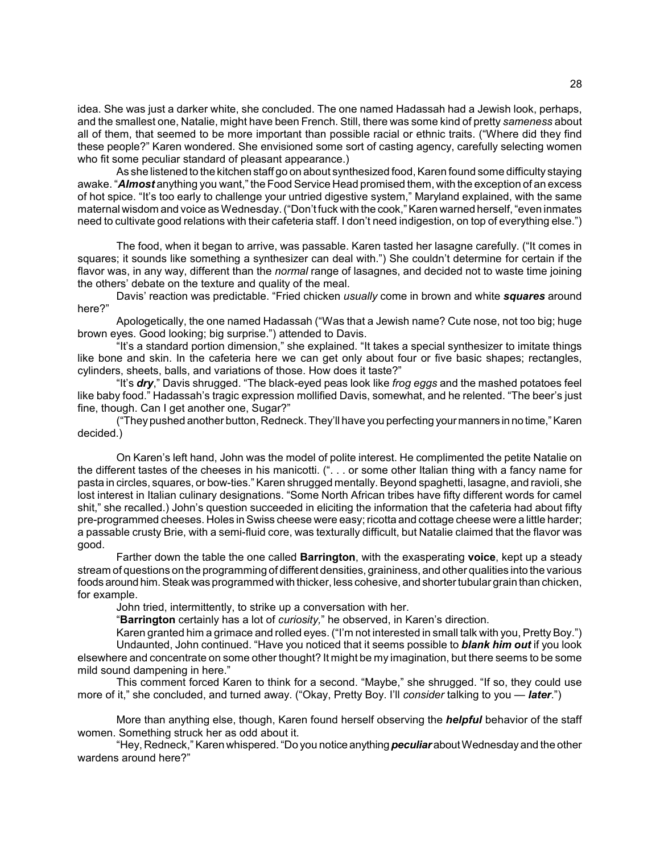idea. She was just a darker white, she concluded. The one named Hadassah had a Jewish look, perhaps, and the smallest one, Natalie, might have been French. Still, there was some kind of pretty *sameness* about all of them, that seemed to be more important than possible racial or ethnic traits. ("Where did they find these people?" Karen wondered. She envisioned some sort of casting agency, carefully selecting women who fit some peculiar standard of pleasant appearance.)

As she listened to the kitchen staff go on about synthesized food, Karen found some difficulty staying awake. "**Almost** anything you want," the Food Service Head promised them, with the exception of an excess of hot spice. "It's too early to challenge your untried digestive system," Maryland explained, with the same maternal wisdom and voice as Wednesday. ("Don't fuck with the cook," Karen warned herself, "even inmates need to cultivate good relations with their cafeteria staff. I don't need indigestion, on top of everything else.")

The food, when it began to arrive, was passable. Karen tasted her lasagne carefully. ("It comes in squares; it sounds like something a synthesizer can deal with.") She couldn't determine for certain if the flavor was, in any way, different than the *normal* range of lasagnes, and decided not to waste time joining the others' debate on the texture and quality of the meal.

Davis' reaction was predictable. "Fried chicken *usually* come in brown and white *squares* around here?"

Apologetically, the one named Hadassah ("Was that a Jewish name? Cute nose, not too big; huge brown eyes. Good looking; big surprise.") attended to Davis.

"It's a standard portion dimension," she explained. "It takes a special synthesizer to imitate things like bone and skin. In the cafeteria here we can get only about four or five basic shapes; rectangles, cylinders, sheets, balls, and variations of those. How does it taste?"

"It's **dry**," Davis shrugged. "The black-eyed peas look like *frog eggs* and the mashed potatoes feel like baby food." Hadassah's tragic expression mollified Davis, somewhat, and he relented. "The beer's just fine, though. Can I get another one, Sugar?"

("They pushed another button, Redneck. They'll have you perfecting your manners in no time," Karen decided.)

On Karenís left hand, John was the model of polite interest. He complimented the petite Natalie on the different tastes of the cheeses in his manicotti. (". . . or some other Italian thing with a fancy name for pasta in circles, squares, or bow-ties.î Karen shrugged mentally. Beyond spaghetti, lasagne, and ravioli, she lost interest in Italian culinary designations. "Some North African tribes have fifty different words for camel shit," she recalled.) John's question succeeded in eliciting the information that the cafeteria had about fifty pre-programmed cheeses. Holes in Swiss cheese were easy; ricotta and cottage cheese were a little harder; a passable crusty Brie, with a semi-fluid core, was texturally difficult, but Natalie claimed that the flavor was good.

Farther down the table the one called **Barrington**, with the exasperating **voice**, kept up a steady stream of questions on the programming of different densities, graininess, and other qualities into the various foods around him. Steak was programmed with thicker, less cohesive, and shorter tubular grain than chicken, for example.

John tried, intermittently, to strike up a conversation with her.

ì**Barrington** certainly has a lot of *curiosity,*î he observed, in Karenís direction.

Karen granted him a grimace and rolled eyes. ("I'm not interested in small talk with you, Pretty Boy.") Undaunted, John continued. "Have you noticed that it seems possible to **blank him out** if you look elsewhere and concentrate on some other thought? It might be my imagination, but there seems to be some mild sound dampening in here."

This comment forced Karen to think for a second. "Maybe," she shrugged. "If so, they could use more of it,<sup>n</sup> she concluded, and turned away. ("Okay, Pretty Boy. I'll *consider* talking to you — *later*.")

More than anything else, though, Karen found herself observing the *helpful* behavior of the staff women. Something struck her as odd about it.

"Hey, Redneck," Karen whispered. "Do you notice anything *peculiar* about Wednesday and the other wardens around here?"